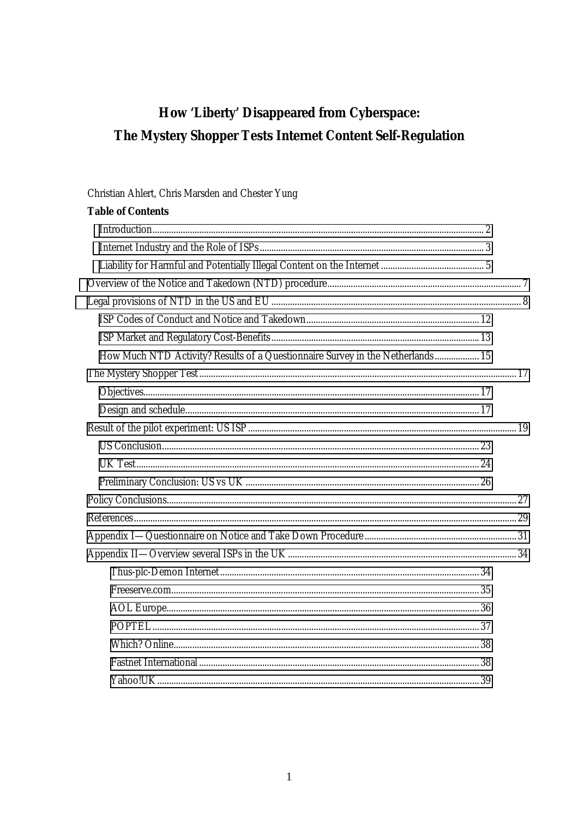# How 'Liberty' Disappeared from Cyberspace: The Mystery Shopper Tests Internet Content Self-Regulation

## Christian Ahlert, Chris Marsden and Chester Yung

| <b>Table of Contents</b>                                                       |  |
|--------------------------------------------------------------------------------|--|
|                                                                                |  |
|                                                                                |  |
|                                                                                |  |
|                                                                                |  |
|                                                                                |  |
|                                                                                |  |
|                                                                                |  |
| How Much NTD Activity? Results of a Questionnaire Survey in the Netherlands 15 |  |
|                                                                                |  |
|                                                                                |  |
|                                                                                |  |
|                                                                                |  |
|                                                                                |  |
|                                                                                |  |
|                                                                                |  |
|                                                                                |  |
|                                                                                |  |
|                                                                                |  |
|                                                                                |  |
|                                                                                |  |
|                                                                                |  |
|                                                                                |  |
|                                                                                |  |
|                                                                                |  |
|                                                                                |  |
|                                                                                |  |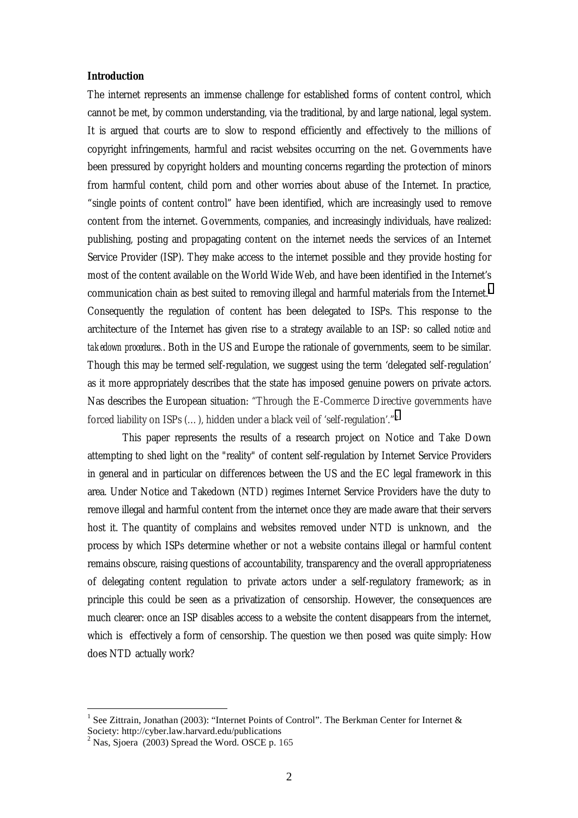#### <span id="page-1-0"></span>*Introduction*

The internet represents an immense challenge for established forms of content control, which cannot be met, by common understanding, via the traditional, by and large national, legal system. It is argued that courts are to slow to respond efficiently and effectively to the millions of copyright infringements, harmful and racist websites occurring on the net. Governments have been pressured by copyright holders and mounting concerns regarding the protection of minors from harmful content, child porn and other worries about abuse of the Internet. In practice, "single points of content control" have been identified, which are increasingly used to remove content from the internet. Governments, companies, and increasingly individuals, have realized: publishing, posting and propagating content on the internet needs the services of an Internet Service Provider (ISP). They make access to the internet possible and they provide hosting for most of the content available on the World Wide Web, and have been identified in the Internet's communication chain as best suited to removing illegal and harmful materials from the Internet.1 Consequently the regulation of content has been delegated to ISPs. This response to the architecture of the Internet has given rise to a strategy available to an ISP: so called *notice and takedown procedures.*. Both in the US and Europe the rationale of governments, seem to be similar. Though this may be termed self-regulation, we suggest using the term 'delegated self-regulation' as it more appropriately describes that the state has imposed genuine powers on private actors. Nas describes the European situation: "Through the E-Commerce Directive governments have forced liability on ISPs (…), hidden under a black veil of 'self-regulation'."2

 This paper represents the results of a research project on Notice and Take Down attempting to shed light on the "reality" of content self-regulation by Internet Service Providers in general and in particular on differences between the US and the EC legal framework in this area. Under Notice and Takedown (NTD) regimes Internet Service Providers have the duty to remove illegal and harmful content from the internet once they are made aware that their servers host it. The quantity of complains and websites removed under NTD is unknown, and the process by which ISPs determine whether or not a website contains illegal or harmful content remains obscure, raising questions of accountability, transparency and the overall appropriateness of delegating content regulation to private actors under a self-regulatory framework; as in principle this could be seen as a privatization of censorship. However, the consequences are much clearer: once an ISP disables access to a website the content disappears from the internet, which is effectively a form of censorship. The question we then posed was quite simply: How does NTD actually work?

<sup>1</sup> See Zittrain, Jonathan (2003): "Internet Points of Control". The Berkman Center for Internet & Society: http://cyber.law.harvard.edu/publications

 $2^2$  Nas, Sjoera (2003) Spread the Word. OSCE p. 165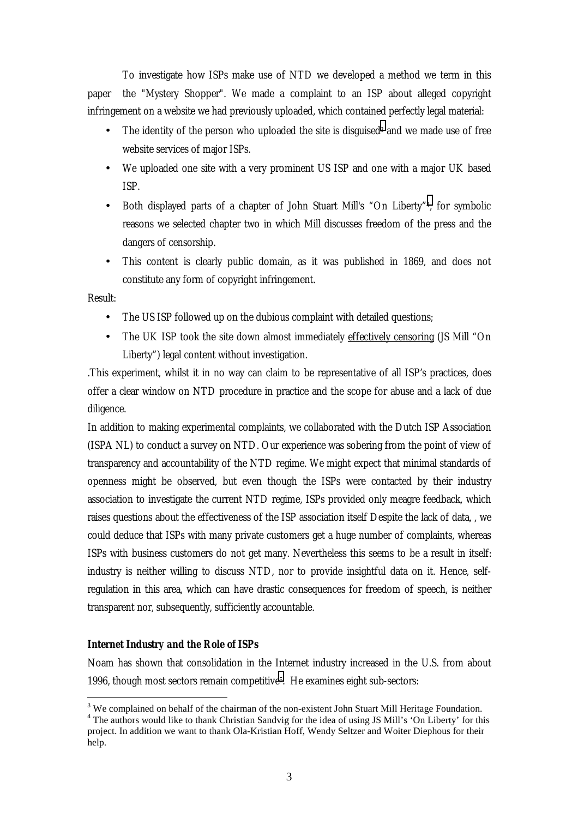<span id="page-2-0"></span>To investigate how ISPs make use of NTD we developed a method we term in this paper the "Mystery Shopper". We made a complaint to an ISP about alleged copyright infringement on a website we had previously uploaded, which contained perfectly legal material:

- The identity of the person who uploaded the site is disguised<sup>3</sup> and we made use of free website services of major ISPs.
- We uploaded one site with a very prominent US ISP and one with a major UK based ISP.
- Both displayed parts of a chapter of John Stuart Mill's "On Liberty"4; for symbolic reasons we selected chapter two in which Mill discusses freedom of the press and the dangers of censorship.
- This content is clearly public domain, as it was published in 1869, and does not constitute any form of copyright infringement.

Result:

 $\overline{a}$ 

- The US ISP followed up on the dubious complaint with detailed questions;
- The UK ISP took the site down almost immediately effectively censoring (JS Mill "On Liberty") legal content without investigation.

.This experiment, whilst it in no way can claim to be representative of all ISP's practices, does offer a clear window on NTD procedure in practice and the scope for abuse and a lack of due diligence.

In addition to making experimental complaints, we collaborated with the Dutch ISP Association (ISPA NL) to conduct a survey on NTD. Our experience was sobering from the point of view of transparency and accountability of the NTD regime. We might expect that minimal standards of openness might be observed, but even though the ISPs were contacted by their industry association to investigate the current NTD regime, ISPs provided only meagre feedback, which raises questions about the effectiveness of the ISP association itself Despite the lack of data, , we could deduce that ISPs with many private customers get a huge number of complaints, whereas ISPs with business customers do not get many. Nevertheless this seems to be a result in itself: industry is neither willing to discuss NTD, nor to provide insightful data on it. Hence, selfregulation in this area, which can have drastic consequences for freedom of speech, is neither transparent nor, subsequently, sufficiently accountable.

## *Internet Industry and the Role of ISPs*

Noam has shown that consolidation in the Internet industry increased in the U.S. from about 1996, though most sectors remain competitive5. He examines eight sub-sectors:

 $3$  We complained on behalf of the chairman of the non-existent John Stuart Mill Heritage Foundation.

<sup>&</sup>lt;sup>4</sup> The authors would like to thank Christian Sandvig for the idea of using JS Mill's 'On Liberty' for this project. In addition we want to thank Ola-Kristian Hoff, Wendy Seltzer and Woiter Diephous for their help.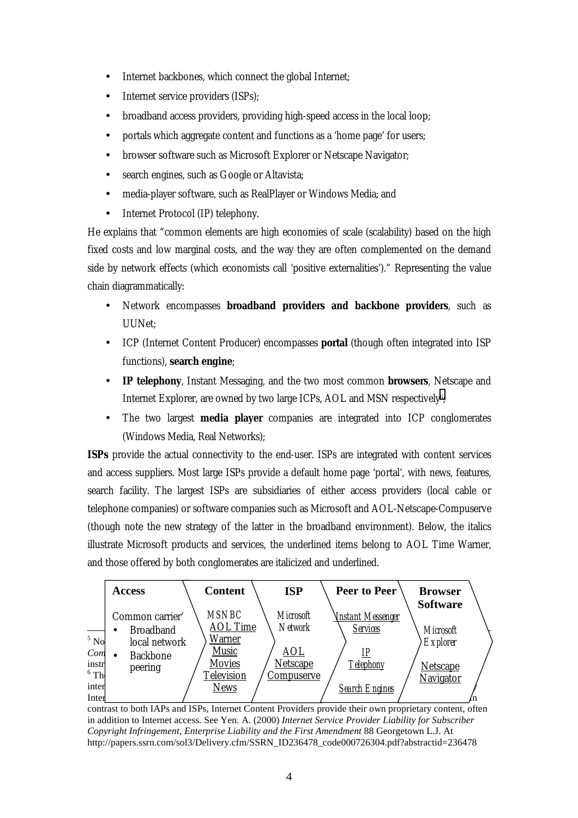- Internet backbones, which connect the global Internet;
- Internet service providers (ISPs);
- broadband access providers, providing high-speed access in the local loop;
- portals which aggregate content and functions as a 'home page' for users;
- browser software such as Microsoft Explorer or Netscape Navigator;
- search engines, such as Google or Altavista;
- media-player software, such as RealPlayer or Windows Media; and
- Internet Protocol (IP) telephony.

He explains that "common elements are high economies of scale (scalability) based on the high fixed costs and low marginal costs, and the way they are often complemented on the demand side by network effects (which economists call 'positive externalities')." Representing the value chain diagrammatically:

- Network encompasses **broadband providers and backbone providers**, such as UUNet;
- ICP (Internet Content Producer) encompasses **portal** (though often integrated into ISP functions), **search engine**;
- **IP telephony**, Instant Messaging, and the two most common **browsers**, Netscape and Internet Explorer, are owned by two large ICPs, AOL and MSN respectively6;
- The two largest **media player** companies are integrated into ICP conglomerates (Windows Media, Real Networks);

**ISPs** provide the actual connectivity to the end-user. ISPs are integrated with content services and access suppliers. Most large ISPs provide a default home page 'portal', with news, features, search facility. The largest ISPs are subsidiaries of either access providers (local cable or telephone companies) or software companies such as Microsoft and AOL-Netscape-Compuserve (though note the new strategy of the latter in the broadband environment). Below, the italics illustrate Microsoft products and services, the underlined items belong to AOL Time Warner, and those offered by both conglomerates are italicized and underlined.



contrast to both IAPs and ISPs, Internet Content Providers provide their own proprietary content, often in addition to Internet access. See Yen. A. (2000) *Internet Service Provider Liability for Subscriber Copyright Infringement, Enterprise Liability and the First Amendment* 88 Georgetown L.J. At http://papers.ssrn.com/sol3/Delivery.cfm/SSRN\_ID236478\_code000726304.pdf?abstractid=236478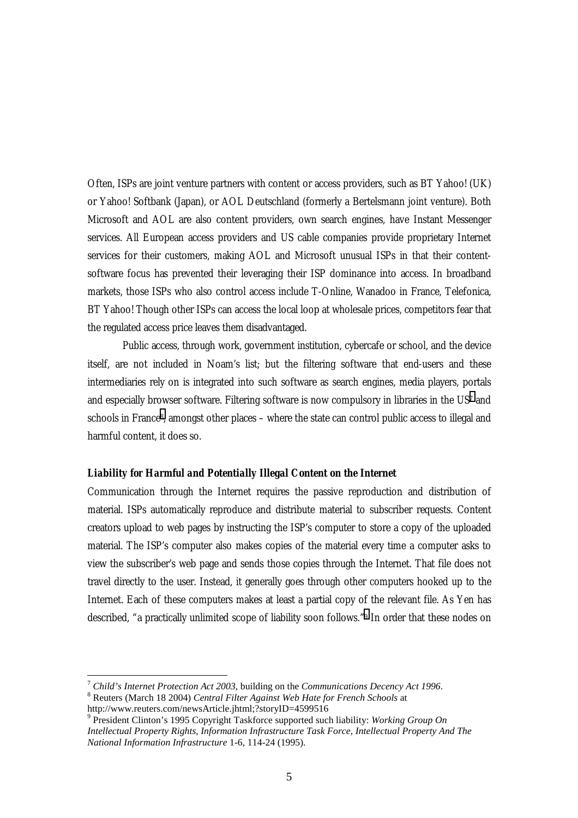<span id="page-4-0"></span>Often, ISPs are joint venture partners with content or access providers, such as BT Yahoo! (UK) or Yahoo! Softbank (Japan), or AOL Deutschland (formerly a Bertelsmann joint venture). Both Microsoft and AOL are also content providers, own search engines, have Instant Messenger services. All European access providers and US cable companies provide proprietary Internet services for their customers, making AOL and Microsoft unusual ISPs in that their contentsoftware focus has prevented their leveraging their ISP dominance into access. In broadband markets, those ISPs who also control access include T-Online, Wanadoo in France, Telefonica, BT Yahoo! Though other ISPs can access the local loop at wholesale prices, competitors fear that the regulated access price leaves them disadvantaged.

Public access, through work, government institution, cybercafe or school, and the device itself, are not included in Noam's list; but the filtering software that end-users and these intermediaries rely on is integrated into such software as search engines, media players, portals and especially browser software. Filtering software is now compulsory in libraries in the US7 and schools in France<sup>8</sup>, amongst other places – where the state can control public access to illegal and harmful content, it does so.

#### *Liability for Harmful and Potentially Illegal Content on the Internet*

Communication through the Internet requires the passive reproduction and distribution of material. ISPs automatically reproduce and distribute material to subscriber requests. Content creators upload to web pages by instructing the ISP's computer to store a copy of the uploaded material. The ISP's computer also makes copies of the material every time a computer asks to view the subscriber's web page and sends those copies through the Internet. That file does not travel directly to the user. Instead, it generally goes through other computers hooked up to the Internet. Each of these computers makes at least a partial copy of the relevant file. As Yen has described, "a practically unlimited scope of liability soon follows."9 In order that these nodes on

<sup>7</sup> *Child's Internet Protection Act 2003*, building on the *Communications Decency Act 1996*. 8 Reuters (March 18 2004) *Central Filter Against Web Hate for French Schools* at

http://www.reuters.com/newsArticle.jhtml;?storyID=4599516

<sup>9</sup> President Clinton's 1995 Copyright Taskforce supported such liability: *Working Group On Intellectual Property Rights, Information Infrastructure Task Force, Intellectual Property And The National Information Infrastructure* 1-6, 114-24 (1995).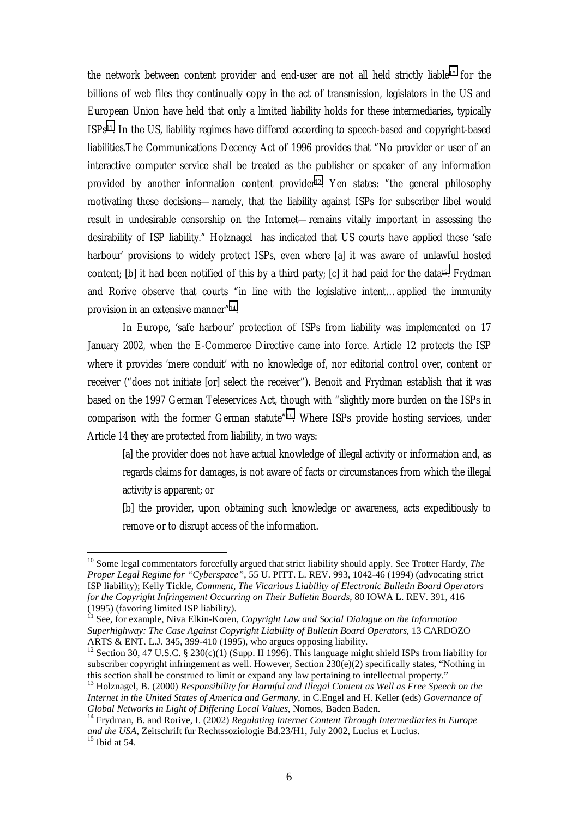the network between content provider and end-user are not all held strictly liable10 for the billions of web files they continually copy in the act of transmission, legislators in the US and European Union have held that only a limited liability holds for these intermediaries, typically ISPs11. In the US, liability regimes have differed according to speech-based and copyright-based liabilities.The Communications Decency Act of 1996 provides that "No provider or user of an interactive computer service shall be treated as the publisher or speaker of any information provided by another information content provider<sup>12</sup>. Yen states: "the general philosophy motivating these decisions—namely, that the liability against ISPs for subscriber libel would result in undesirable censorship on the Internet—remains vitally important in assessing the desirability of ISP liability." Holznagel has indicated that US courts have applied these 'safe harbour' provisions to widely protect ISPs, even where [a] it was aware of unlawful hosted content; [b] it had been notified of this by a third party; [c] it had paid for the data<sup>13</sup>. Frydman and Rorive observe that courts "in line with the legislative intent…applied the immunity provision in an extensive manner"14.

 In Europe, 'safe harbour' protection of ISPs from liability was implemented on 17 January 2002, when the E-Commerce Directive came into force. Article 12 protects the ISP where it provides 'mere conduit' with no knowledge of, nor editorial control over, content or receiver ("does not initiate [or] select the receiver"). Benoit and Frydman establish that it was based on the 1997 German Teleservices Act, though with "slightly more burden on the ISPs in comparison with the former German statute"15. Where ISPs provide hosting services, under Article 14 they are protected from liability, in two ways:

[a] the provider does not have actual knowledge of illegal activity or information and, as regards claims for damages, is not aware of facts or circumstances from which the illegal activity is apparent; or

[b] the provider, upon obtaining such knowledge or awareness, acts expeditiously to remove or to disrupt access of the information.

<sup>&</sup>lt;sup>10</sup> Some legal commentators forcefully argued that strict liability should apply. See Trotter Hardy, *The Proper Legal Regime for "Cyberspace"*, 55 U. PITT. L. REV. 993, 1042-46 (1994) (advocating strict ISP liability); Kelly Tickle, *Comment, The Vicarious Liability of Electronic Bulletin Board Operators for the Copyright Infringement Occurring on Their Bulletin Boards*, 80 IOWA L. REV. 391, 416 (1995) (favoring limited ISP liability).

<sup>&</sup>lt;sup>11</sup> See, for example, Niva Elkin-Koren, *Copyright Law and Social Dialogue on the Information Superhighway: The Case Against Copyright Liability of Bulletin Board Operators*, 13 CARDOZO ARTS & ENT. L.J. 345, 399-410 (1995), who argues opposing liability.

<sup>&</sup>lt;sup>12</sup> Section 30, 47 U.S.C. § 230(c)(1) (Supp. II 1996). This language might shield ISPs from liability for subscriber copyright infringement as well. However, Section 230(e)(2) specifically states, "Nothing in this section shall be construed to limit or expand any law pertaining to intellectual property."

<sup>13</sup> Holznagel, B. (2000) *Responsibility for Harmful and Illegal Content as Well as Free Speech on the Internet in the United States of America and Germany*, in C.Engel and H. Keller (eds) *Governance of Global Networks in Light of Differing Local Values*, Nomos, Baden Baden. 14 Frydman, B. and Rorive, I. (2002) *Regulating Internet Content Through Intermediaries in Europe* 

*and the USA*, Zeitschrift fur Rechtssoziologie Bd.23/H1, July 2002, Lucius et Lucius. 15 Ibid at 54.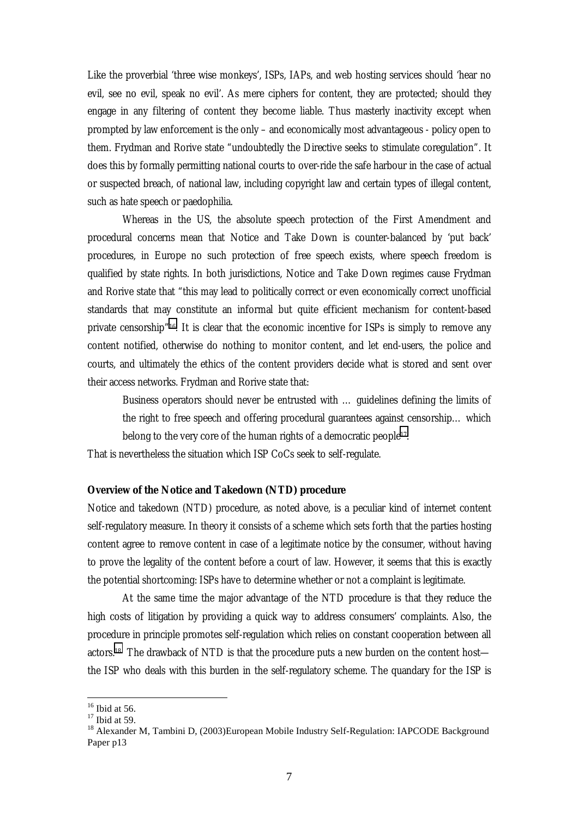<span id="page-6-0"></span>Like the proverbial 'three wise monkeys', ISPs, IAPs, and web hosting services should 'hear no evil, see no evil, speak no evil'. As mere ciphers for content, they are protected; should they engage in any filtering of content they become liable. Thus masterly inactivity except when prompted by law enforcement is the only – and economically most advantageous - policy open to them. Frydman and Rorive state "undoubtedly the Directive seeks to stimulate coregulation". It does this by formally permitting national courts to over-ride the safe harbour in the case of actual or suspected breach, of national law, including copyright law and certain types of illegal content, such as hate speech or paedophilia.

Whereas in the US, the absolute speech protection of the First Amendment and procedural concerns mean that Notice and Take Down is counter-balanced by 'put back' procedures, in Europe no such protection of free speech exists, where speech freedom is qualified by state rights. In both jurisdictions, Notice and Take Down regimes cause Frydman and Rorive state that "this may lead to politically correct or even economically correct unofficial standards that may constitute an informal but quite efficient mechanism for content-based private censorship"16. It is clear that the economic incentive for ISPs is simply to remove any content notified, otherwise do nothing to monitor content, and let end-users, the police and courts, and ultimately the ethics of the content providers decide what is stored and sent over their access networks. Frydman and Rorive state that:

Business operators should never be entrusted with … guidelines defining the limits of the right to free speech and offering procedural guarantees against censorship… which belong to the very core of the human rights of a democratic people17.

That is nevertheless the situation which ISP CoCs seek to self-regulate.

#### **Overview of the Notice and Takedown (NTD) procedure**

Notice and takedown (NTD) procedure, as noted above, is a peculiar kind of internet content self-regulatory measure. In theory it consists of a scheme which sets forth that the parties hosting content agree to remove content in case of a legitimate notice by the consumer, without having to prove the legality of the content before a court of law. However, it seems that this is exactly the potential shortcoming: ISPs have to determine whether or not a complaint is legitimate.

At the same time the major advantage of the NTD procedure is that they reduce the high costs of litigation by providing a quick way to address consumers' complaints. Also, the procedure in principle promotes self-regulation which relies on constant cooperation between all actors.18 The drawback of NTD is that the procedure puts a new burden on the content host the ISP who deals with this burden in the self-regulatory scheme. The quandary for the ISP is

 $16$  Ibid at 56.

 $17$  Ibid at 59.

<sup>&</sup>lt;sup>18</sup> Alexander M, Tambini D, (2003)European Mobile Industry Self-Regulation: IAPCODE Background Paper p13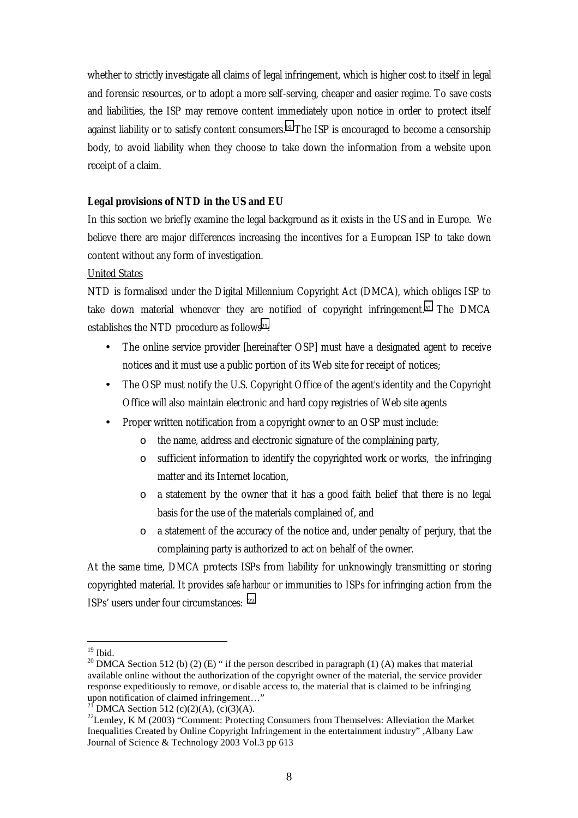<span id="page-7-0"></span>whether to strictly investigate all claims of legal infringement, which is higher cost to itself in legal and forensic resources, or to adopt a more self-serving, cheaper and easier regime. To save costs and liabilities, the ISP may remove content immediately upon notice in order to protect itself against liability or to satisfy content consumers.19 The ISP is encouraged to become a censorship body, to avoid liability when they choose to take down the information from a website upon receipt of a claim.

## **Legal provisions of NTD in the US and EU**

In this section we briefly examine the legal background as it exists in the US and in Europe. We believe there are major differences increasing the incentives for a European ISP to take down content without any form of investigation.

#### United States

NTD is formalised under the Digital Millennium Copyright Act (DMCA), which obliges ISP to take down material whenever they are notified of copyright infringement.20 The DMCA establishes the NTD procedure as follows<sup>21</sup>:

- The online service provider [hereinafter OSP] must have a designated agent to receive notices and it must use a public portion of its Web site for receipt of notices;
- The OSP must notify the U.S. Copyright Office of the agent's identity and the Copyright Office will also maintain electronic and hard copy registries of Web site agents
- Proper written notification from a copyright owner to an OSP must include:
	- o the name, address and electronic signature of the complaining party,
	- o sufficient information to identify the copyrighted work or works, the infringing matter and its Internet location,
	- o a statement by the owner that it has a good faith belief that there is no legal basis for the use of the materials complained of, and
	- $\circ$  a statement of the accuracy of the notice and, under penalty of perjury, that the complaining party is authorized to act on behalf of the owner.

At the same time, DMCA protects ISPs from liability for unknowingly transmitting or storing copyrighted material. It provides *safe harbour* or immunities to ISPs for infringing action from the ISPs' users under four circumstances: 22

 $19$  Ibid.

<sup>&</sup>lt;sup>20</sup> DMCA Section 512 (b) (2) (E) " if the person described in paragraph (1) (A) makes that material available online without the authorization of the copyright owner of the material, the service provider response expeditiously to remove, or disable access to, the material that is claimed to be infringing upon notification of claimed infringement…"

DMCA Section 512 (c)(2)(A), (c)(3)(A).

<sup>&</sup>lt;sup>22</sup>Lemley, K M (2003) "Comment: Protecting Consumers from Themselves: Alleviation the Market Inequalities Created by Online Copyright Infringement in the entertainment industry" ,Albany Law Journal of Science & Technology 2003 Vol.3 pp 613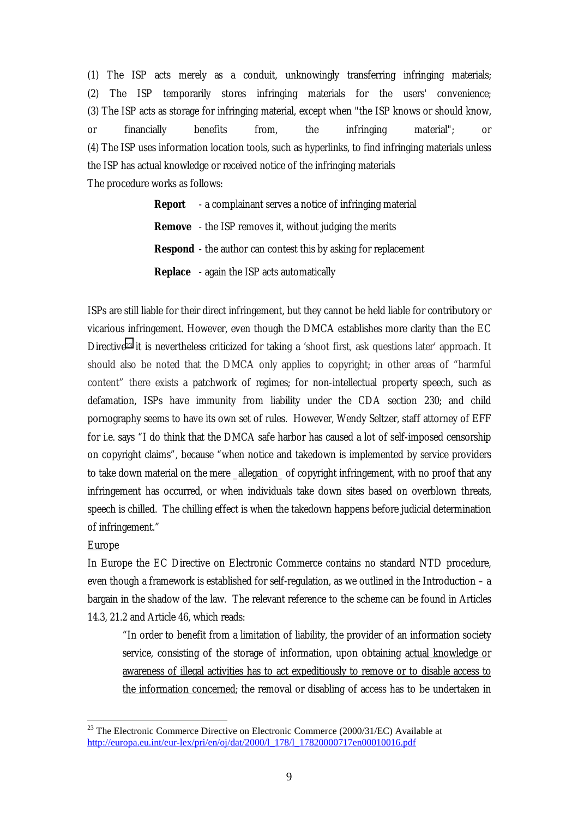(1) The ISP acts merely as a conduit, unknowingly transferring infringing materials; (2) The ISP temporarily stores infringing materials for the users' convenience; (3) The ISP acts as storage for infringing material, except when "the ISP knows or should know, or financially benefits from, the infringing material"; or (4) The ISP uses information location tools, such as hyperlinks, to find infringing materials unless the ISP has actual knowledge or received notice of the infringing materials The procedure works as follows:

> **Report** - a complainant serves a notice of infringing material **Remove** - the ISP removes it, without judging the merits **Respond** - the author can contest this by asking for replacement **Replace** - again the ISP acts automatically

ISPs are still liable for their direct infringement, but they cannot be held liable for contributory or vicarious infringement. However, even though the DMCA establishes more clarity than the EC Directive23 it is nevertheless criticized for taking a 'shoot first, ask questions later' approach. It should also be noted that the DMCA only applies to copyright; in other areas of "harmful content" there exists a patchwork of regimes; for non-intellectual property speech, such as defamation, ISPs have immunity from liability under the CDA section 230; and child pornography seems to have its own set of rules. However, Wendy Seltzer, staff attorney of EFF for i.e. says "I do think that the DMCA safe harbor has caused a lot of self-imposed censorship on copyright claims", because "when notice and takedown is implemented by service providers to take down material on the mere allegation of copyright infringement, with no proof that any infringement has occurred, or when individuals take down sites based on overblown threats, speech is chilled. The chilling effect is when the takedown happens before judicial determination of infringement."

#### **Europe**

 $\overline{a}$ 

In Europe the EC Directive on Electronic Commerce contains no standard NTD procedure, even though a framework is established for self-regulation, as we outlined in the Introduction – a bargain in the shadow of the law. The relevant reference to the scheme can be found in Articles 14.3, 21.2 and Article 46, which reads:

"In order to benefit from a limitation of liability, the provider of an information society service, consisting of the storage of information, upon obtaining actual knowledge or awareness of illegal activities has to act expeditiously to remove or to disable access to the information concerned; the removal or disabling of access has to be undertaken in

<sup>&</sup>lt;sup>23</sup> The Electronic Commerce Directive on Electronic Commerce (2000/31/EC) Available at http://europa.eu.int/eur-lex/pri/en/oj/dat/2000/l\_178/l\_17820000717en00010016.pdf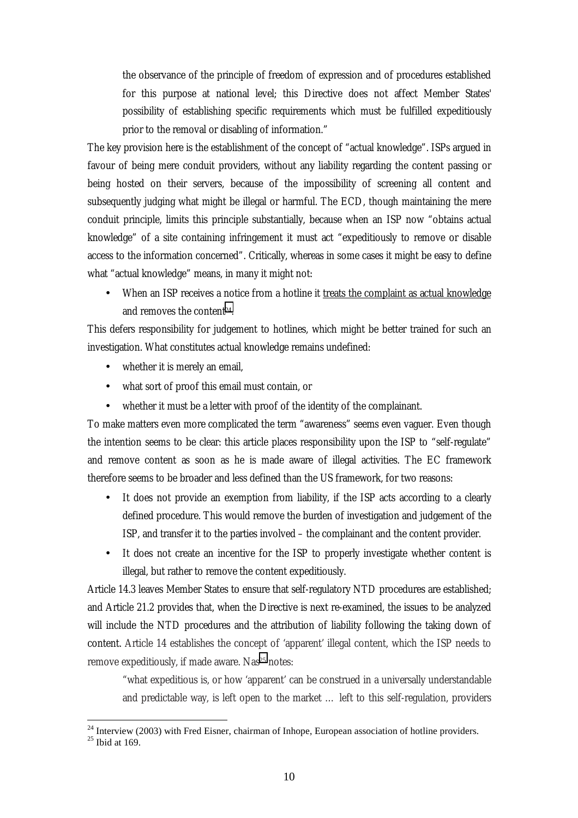the observance of the principle of freedom of expression and of procedures established for this purpose at national level; this Directive does not affect Member States' possibility of establishing specific requirements which must be fulfilled expeditiously prior to the removal or disabling of information."

The key provision here is the establishment of the concept of "actual knowledge". ISPs argued in favour of being mere conduit providers, without any liability regarding the content passing or being hosted on their servers, because of the impossibility of screening all content and subsequently judging what might be illegal or harmful. The ECD, though maintaining the mere conduit principle, limits this principle substantially, because when an ISP now "obtains actual knowledge" of a site containing infringement it must act "expeditiously to remove or disable access to the information concerned". Critically, whereas in some cases it might be easy to define what "actual knowledge" means, in many it might not:

When an ISP receives a notice from a hotline it treats the complaint as actual knowledge and removes the content24.

This defers responsibility for judgement to hotlines, which might be better trained for such an investigation. What constitutes actual knowledge remains undefined:

- whether it is merely an email,
- what sort of proof this email must contain, or
- whether it must be a letter with proof of the identity of the complainant.

To make matters even more complicated the term "awareness" seems even vaguer. Even though the intention seems to be clear: this article places responsibility upon the ISP to "self-regulate" and remove content as soon as he is made aware of illegal activities. The EC framework therefore seems to be broader and less defined than the US framework, for two reasons:

- It does not provide an exemption from liability, if the ISP acts according to a clearly defined procedure. This would remove the burden of investigation and judgement of the ISP, and transfer it to the parties involved – the complainant and the content provider.
- It does not create an incentive for the ISP to properly investigate whether content is illegal, but rather to remove the content expeditiously.

Article 14.3 leaves Member States to ensure that self-regulatory NTD procedures are established; and Article 21.2 provides that, when the Directive is next re-examined, the issues to be analyzed will include the NTD procedures and the attribution of liability following the taking down of content. Article 14 establishes the concept of 'apparent' illegal content, which the ISP needs to remove expeditiously, if made aware. Nas<sup>25</sup> notes:

"what expeditious is, or how 'apparent' can be construed in a universally understandable and predictable way, is left open to the market … left to this self-regulation, providers

 $24$  Interview (2003) with Fred Eisner, chairman of Inhope, European association of hotline providers.

 $25$  Ibid at 169.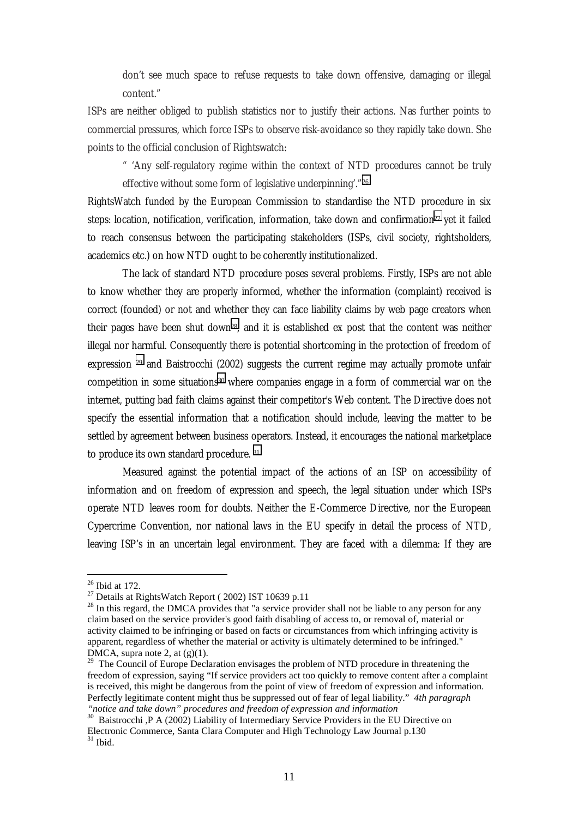don't see much space to refuse requests to take down offensive, damaging or illegal content."

ISPs are neither obliged to publish statistics nor to justify their actions. Nas further points to commercial pressures, which force ISPs to observe risk-avoidance so they rapidly take down. She points to the official conclusion of Rightswatch:

" 'Any self-regulatory regime within the context of NTD procedures cannot be truly effective without some form of legislative underpinning'."26

RightsWatch funded by the European Commission to standardise the NTD procedure in six steps: location, notification, verification, information, take down and confirmation<sup>27</sup> yet it failed to reach consensus between the participating stakeholders (ISPs, civil society, rightsholders, academics etc.) on how NTD ought to be coherently institutionalized.

The lack of standard NTD procedure poses several problems. Firstly, ISPs are not able to know whether they are properly informed, whether the information (complaint) received is correct (founded) or not and whether they can face liability claims by web page creators when their pages have been shut down28, and it is established ex post that the content was neither illegal nor harmful. Consequently there is potential shortcoming in the protection of freedom of expression 29 and Baistrocchi (2002) suggests the current regime may actually promote unfair competition in some situations30 where companies engage in a form of commercial war on the internet, putting bad faith claims against their competitor's Web content. The Directive does not specify the essential information that a notification should include, leaving the matter to be settled by agreement between business operators. Instead, it encourages the national marketplace to produce its own standard procedure. 31

Measured against the potential impact of the actions of an ISP on accessibility of information and on freedom of expression and speech, the legal situation under which ISPs operate NTD leaves room for doubts. Neither the E-Commerce Directive, nor the European Cypercrime Convention, nor national laws in the EU specify in detail the process of NTD, leaving ISP's in an uncertain legal environment. They are faced with a dilemma: If they are

<sup>26</sup> Ibid at 172.

 $27$  Details at RightsWatch Report (2002) IST 10639 p.11

<sup>&</sup>lt;sup>28</sup> In this regard, the DMCA provides that "a service provider shall not be liable to any person for any claim based on the service provider's good faith disabling of access to, or removal of, material or activity claimed to be infringing or based on facts or circumstances from which infringing activity is apparent, regardless of whether the material or activity is ultimately determined to be infringed." DMCA, supra note 2, at (g)(1).

<sup>&</sup>lt;sup>29</sup> The Council of Europe Declaration envisages the problem of NTD procedure in threatening the freedom of expression, saying "If service providers act too quickly to remove content after a complaint is received, this might be dangerous from the point of view of freedom of expression and information. Perfectly legitimate content might thus be suppressed out of fear of legal liability." *4th paragraph "notice and take down" procedures and freedom of expression and information*

<sup>&</sup>lt;sup>30</sup> Baistrocchi ,P A (2002) Liability of Intermediary Service Providers in the EU Directive on Electronic Commerce, Santa Clara Computer and High Technology Law Journal p.130  $31$  Ibid.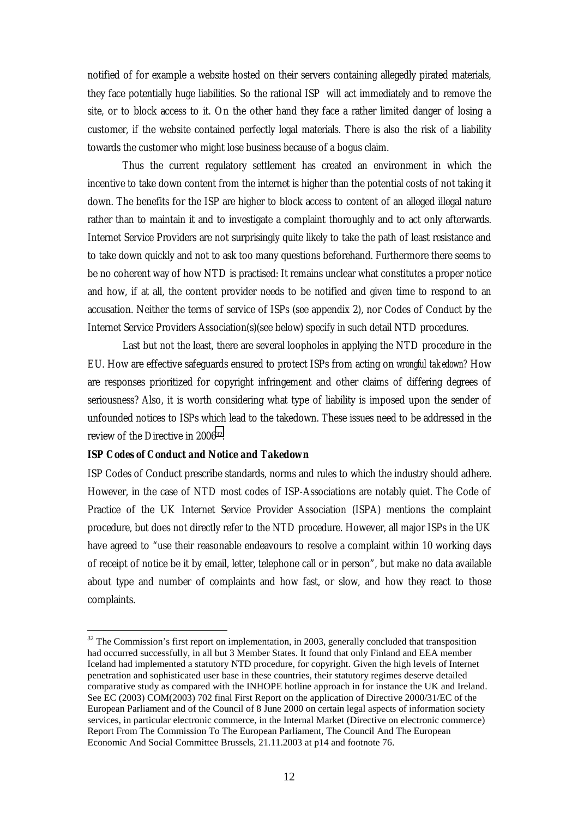<span id="page-11-0"></span>notified of for example a website hosted on their servers containing allegedly pirated materials, they face potentially huge liabilities. So the rational ISP will act immediately and to remove the site, or to block access to it. On the other hand they face a rather limited danger of losing a customer, if the website contained perfectly legal materials. There is also the risk of a liability towards the customer who might lose business because of a bogus claim.

Thus the current regulatory settlement has created an environment in which the incentive to take down content from the internet is higher than the potential costs of not taking it down. The benefits for the ISP are higher to block access to content of an alleged illegal nature rather than to maintain it and to investigate a complaint thoroughly and to act only afterwards. Internet Service Providers are not surprisingly quite likely to take the path of least resistance and to take down quickly and not to ask too many questions beforehand. Furthermore there seems to be no coherent way of how NTD is practised: It remains unclear what constitutes a proper notice and how, if at all, the content provider needs to be notified and given time to respond to an accusation. Neither the terms of service of ISPs (see appendix 2), nor Codes of Conduct by the Internet Service Providers Association(s)(see below) specify in such detail NTD procedures.

Last but not the least, there are several loopholes in applying the NTD procedure in the EU. How are effective safeguards ensured to protect ISPs from acting on *wrongful takedown?* How are responses prioritized for copyright infringement and other claims of differing degrees of seriousness? Also, it is worth considering what type of liability is imposed upon the sender of unfounded notices to ISPs which lead to the takedown. These issues need to be addressed in the review of the Directive in 200632.

#### *ISP Codes of Conduct and Notice and Takedown*

 $\overline{a}$ 

ISP Codes of Conduct prescribe standards, norms and rules to which the industry should adhere. However, in the case of NTD most codes of ISP-Associations are notably quiet. The Code of Practice of the UK Internet Service Provider Association (ISPA) mentions the complaint procedure, but does not directly refer to the NTD procedure. However, all major ISPs in the UK have agreed to "use their reasonable endeavours to resolve a complaint within 10 working days of receipt of notice be it by email, letter, telephone call or in person", but make no data available about type and number of complaints and how fast, or slow, and how they react to those complaints.

<sup>&</sup>lt;sup>32</sup> The Commission's first report on implementation, in 2003, generally concluded that transposition had occurred successfully, in all but 3 Member States. It found that only Finland and EEA member Iceland had implemented a statutory NTD procedure, for copyright. Given the high levels of Internet penetration and sophisticated user base in these countries, their statutory regimes deserve detailed comparative study as compared with the INHOPE hotline approach in for instance the UK and Ireland. See EC (2003) COM(2003) 702 final First Report on the application of Directive 2000/31/EC of the European Parliament and of the Council of 8 June 2000 on certain legal aspects of information society services, in particular electronic commerce, in the Internal Market (Directive on electronic commerce) Report From The Commission To The European Parliament, The Council And The European Economic And Social Committee Brussels, 21.11.2003 at p14 and footnote 76.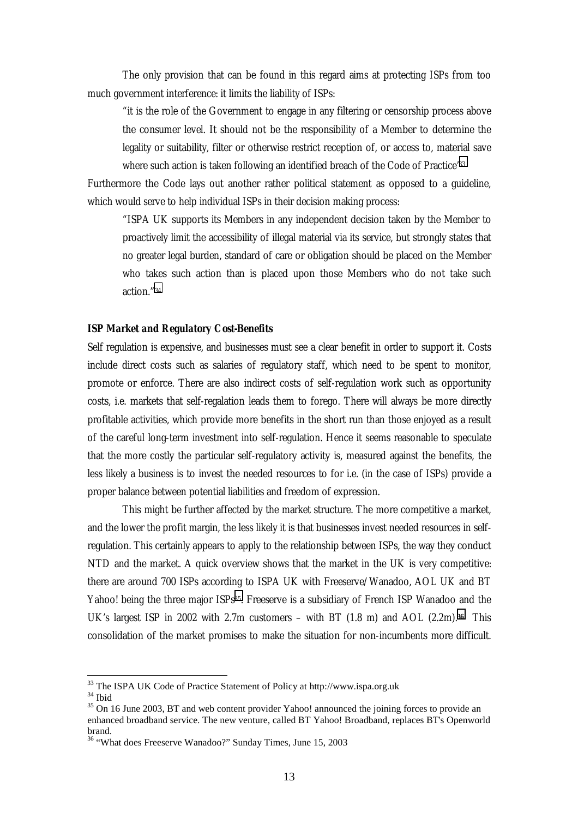<span id="page-12-0"></span>The only provision that can be found in this regard aims at protecting ISPs from too much government interference: it limits the liability of ISPs:

"it is the role of the Government to engage in any filtering or censorship process above the consumer level. It should not be the responsibility of a Member to determine the legality or suitability, filter or otherwise restrict reception of, or access to, material save where such action is taken following an identified breach of the Code of Practice'33

Furthermore the Code lays out another rather political statement as opposed to a guideline, which would serve to help individual ISPs in their decision making process:

"ISPA UK supports its Members in any independent decision taken by the Member to proactively limit the accessibility of illegal material via its service, but strongly states that no greater legal burden, standard of care or obligation should be placed on the Member who takes such action than is placed upon those Members who do not take such action."34

#### *ISP Market and Regulatory Cost-Benefits*

Self regulation is expensive, and businesses must see a clear benefit in order to support it. Costs include direct costs such as salaries of regulatory staff, which need to be spent to monitor, promote or enforce. There are also indirect costs of self-regulation work such as opportunity costs, i.e. markets that self-regalation leads them to forego. There will always be more directly profitable activities, which provide more benefits in the short run than those enjoyed as a result of the careful long-term investment into self-regulation. Hence it seems reasonable to speculate that the more costly the particular self-regulatory activity is, measured against the benefits, the less likely a business is to invest the needed resources to for i.e. (in the case of ISPs) provide a proper balance between potential liabilities and freedom of expression.

 This might be further affected by the market structure. The more competitive a market, and the lower the profit margin, the less likely it is that businesses invest needed resources in selfregulation. This certainly appears to apply to the relationship between ISPs, the way they conduct NTD and the market. A quick overview shows that the market in the UK is very competitive: there are around 700 ISPs according to ISPA UK with Freeserve/Wanadoo, AOL UK and BT Yahoo! being the three major ISPs<sup>35</sup>. Freeserve is a subsidiary of French ISP Wanadoo and the UK's largest ISP in 2002 with 2.7m customers – with BT (1.8 m) and AOL (2.2m).**36** This consolidation of the market promises to make the situation for non-incumbents more difficult.

<sup>&</sup>lt;sup>33</sup> The ISPA UK Code of Practice Statement of Policy at http://www.ispa.org.uk

<sup>34</sup> Ibid

<sup>&</sup>lt;sup>35</sup> On 16 June 2003, BT and web content provider Yahoo! announced the joining forces to provide an enhanced broadband service. The new venture, called BT Yahoo! Broadband, replaces BT's Openworld brand.

<sup>36 &</sup>quot;What does Freeserve Wanadoo?" Sunday Times, June 15, 2003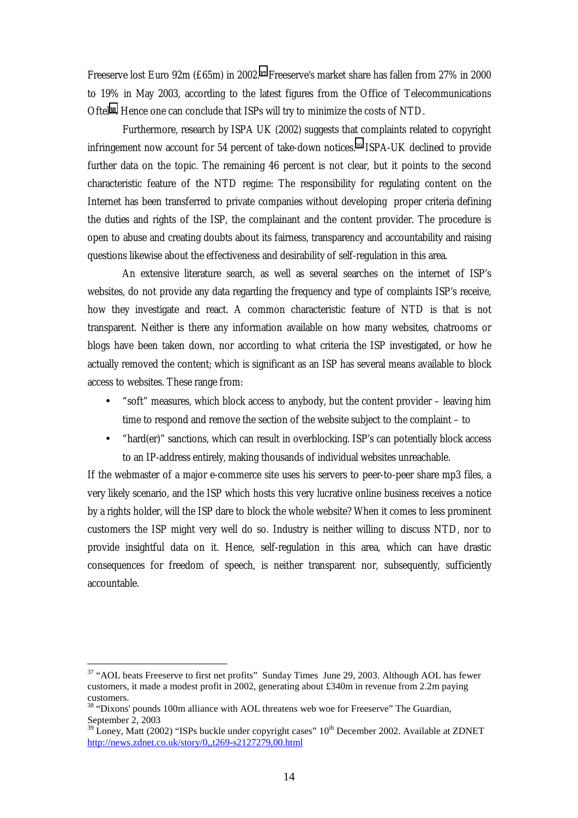Freeserve lost Euro 92m (£65m) in 2002.**37** Freeserve's market share has fallen from 27% in 2000 to 19% in May 2003, according to the latest figures from the Office of Telecommunications Oftel**38**. Hence one can conclude that ISPs will try to minimize the costs of NTD.

Furthermore, research by ISPA UK (2002) suggests that complaints related to copyright infringement now account for 54 percent of take-down notices.39 ISPA-UK declined to provide further data on the topic. The remaining 46 percent is not clear, but it points to the second characteristic feature of the NTD regime: The responsibility for regulating content on the Internet has been transferred to private companies without developing proper criteria defining the duties and rights of the ISP, the complainant and the content provider. The procedure is open to abuse and creating doubts about its fairness, transparency and accountability and raising questions likewise about the effectiveness and desirability of self-regulation in this area.

An extensive literature search, as well as several searches on the internet of ISP's websites, do not provide any data regarding the frequency and type of complaints ISP's receive, how they investigate and react. A common characteristic feature of NTD is that is not transparent. Neither is there any information available on how many websites, chatrooms or blogs have been taken down, nor according to what criteria the ISP investigated, or how he actually removed the content; which is significant as an ISP has several means available to block access to websites. These range from:

- "soft" measures, which block access to anybody, but the content provider leaving him time to respond and remove the section of the website subject to the complaint – to
- "hard(er)" sanctions, which can result in overblocking. ISP's can potentially block access to an IP-address entirely, making thousands of individual websites unreachable.

If the webmaster of a major e-commerce site uses his servers to peer-to-peer share mp3 files, a very likely scenario, and the ISP which hosts this very lucrative online business receives a notice by a rights holder, will the ISP dare to block the whole website? When it comes to less prominent customers the ISP might very well do so. Industry is neither willing to discuss NTD, nor to provide insightful data on it. Hence, self-regulation in this area, which can have drastic consequences for freedom of speech, is neither transparent nor, subsequently, sufficiently accountable.

<sup>&</sup>lt;sup>37</sup> "AOL beats Freeserve to first net profits" Sunday Times June 29, 2003. Although AOL has fewer customers, it made a modest profit in 2002, generating about £340m in revenue from 2.2m paying customers.

<sup>&</sup>lt;sup>38</sup> "Dixons' pounds 100m alliance with AOL threatens web woe for Freeserve" The Guardian, September 2, 2003

 $\overline{9}^1$ Loney, Matt (2002) "ISPs buckle under copyright cases" 10<sup>th</sup> December 2002. Available at ZDNET http://news.zdnet.co.uk/story/0,,t269-s2127279,00.html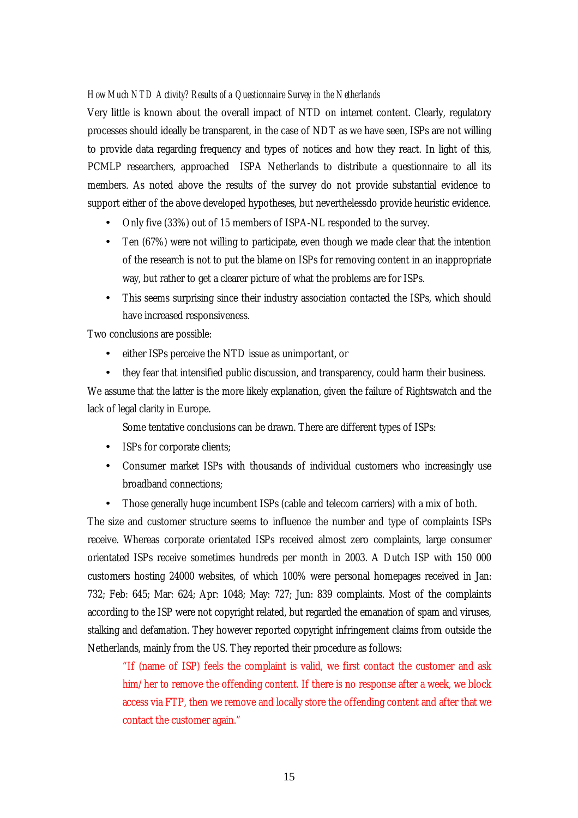#### <span id="page-14-0"></span>*How Much NTD Activity? Results of a Questionnaire Survey in the Netherlands*

Very little is known about the overall impact of NTD on internet content. Clearly, regulatory processes should ideally be transparent, in the case of NDT as we have seen, ISPs are not willing to provide data regarding frequency and types of notices and how they react. In light of this, PCMLP researchers, approached ISPA Netherlands to distribute a questionnaire to all its members. As noted above the results of the survey do not provide substantial evidence to support either of the above developed hypotheses, but neverthelessdo provide heuristic evidence.

- Only five (33%) out of 15 members of ISPA-NL responded to the survey.
- Ten (67%) were not willing to participate, even though we made clear that the intention of the research is not to put the blame on ISPs for removing content in an inappropriate way, but rather to get a clearer picture of what the problems are for ISPs.
- This seems surprising since their industry association contacted the ISPs, which should have increased responsiveness.

Two conclusions are possible:

- either ISPs perceive the NTD issue as unimportant, or
- they fear that intensified public discussion, and transparency, could harm their business.

We assume that the latter is the more likely explanation, given the failure of Rightswatch and the lack of legal clarity in Europe.

Some tentative conclusions can be drawn. There are different types of ISPs:

- ISPs for corporate clients;
- Consumer market ISPs with thousands of individual customers who increasingly use broadband connections;
- Those generally huge incumbent ISPs (cable and telecom carriers) with a mix of both.

The size and customer structure seems to influence the number and type of complaints ISPs receive. Whereas corporate orientated ISPs received almost zero complaints, large consumer orientated ISPs receive sometimes hundreds per month in 2003. A Dutch ISP with 150 000 customers hosting 24000 websites, of which 100% were personal homepages received in Jan: 732; Feb: 645; Mar: 624; Apr: 1048; May: 727; Jun: 839 complaints. Most of the complaints according to the ISP were not copyright related, but regarded the emanation of spam and viruses, stalking and defamation. They however reported copyright infringement claims from outside the Netherlands, mainly from the US. They reported their procedure as follows:

"If (name of ISP) feels the complaint is valid, we first contact the customer and ask him/her to remove the offending content. If there is no response after a week, we block access via FTP, then we remove and locally store the offending content and after that we contact the customer again."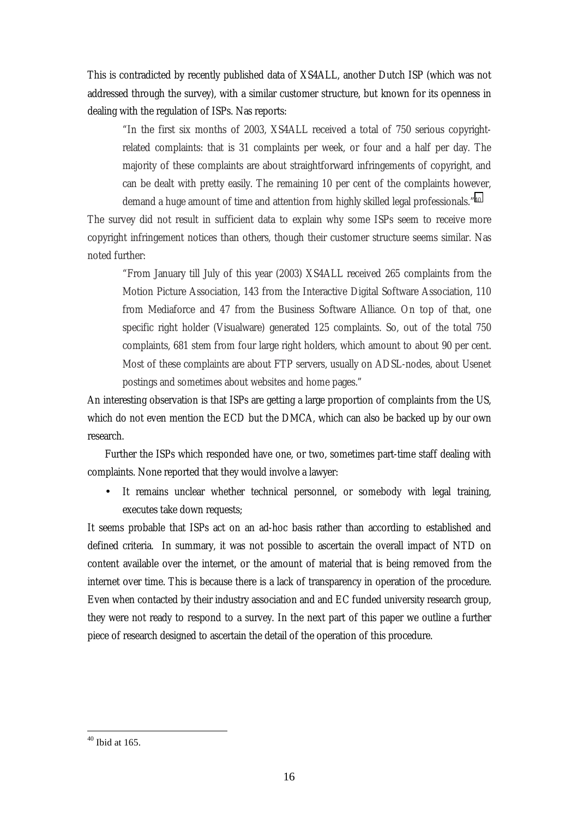This is contradicted by recently published data of XS4ALL, another Dutch ISP (which was not addressed through the survey), with a similar customer structure, but known for its openness in dealing with the regulation of ISPs. Nas reports:

"In the first six months of 2003, XS4ALL received a total of 750 serious copyrightrelated complaints: that is 31 complaints per week, or four and a half per day. The majority of these complaints are about straightforward infringements of copyright, and can be dealt with pretty easily. The remaining 10 per cent of the complaints however, demand a huge amount of time and attention from highly skilled legal professionals."40

The survey did not result in sufficient data to explain why some ISPs seem to receive more copyright infringement notices than others, though their customer structure seems similar. Nas noted further:

"From January till July of this year (2003) XS4ALL received 265 complaints from the Motion Picture Association, 143 from the Interactive Digital Software Association, 110 from Mediaforce and 47 from the Business Software Alliance. On top of that, one specific right holder (Visualware) generated 125 complaints. So, out of the total 750 complaints, 681 stem from four large right holders, which amount to about 90 per cent. Most of these complaints are about FTP servers, usually on ADSL-nodes, about Usenet postings and sometimes about websites and home pages."

An interesting observation is that ISPs are getting a large proportion of complaints from the US, which do not even mention the ECD but the DMCA, which can also be backed up by our own research.

Further the ISPs which responded have one, or two, sometimes part-time staff dealing with complaints. None reported that they would involve a lawyer:

It remains unclear whether technical personnel, or somebody with legal training, executes take down requests;

It seems probable that ISPs act on an ad-hoc basis rather than according to established and defined criteria. In summary, it was not possible to ascertain the overall impact of NTD on content available over the internet, or the amount of material that is being removed from the internet over time. This is because there is a lack of transparency in operation of the procedure. Even when contacted by their industry association and and EC funded university research group, they were not ready to respond to a survey. In the next part of this paper we outline a further piece of research designed to ascertain the detail of the operation of this procedure.

 $40$  Ibid at 165.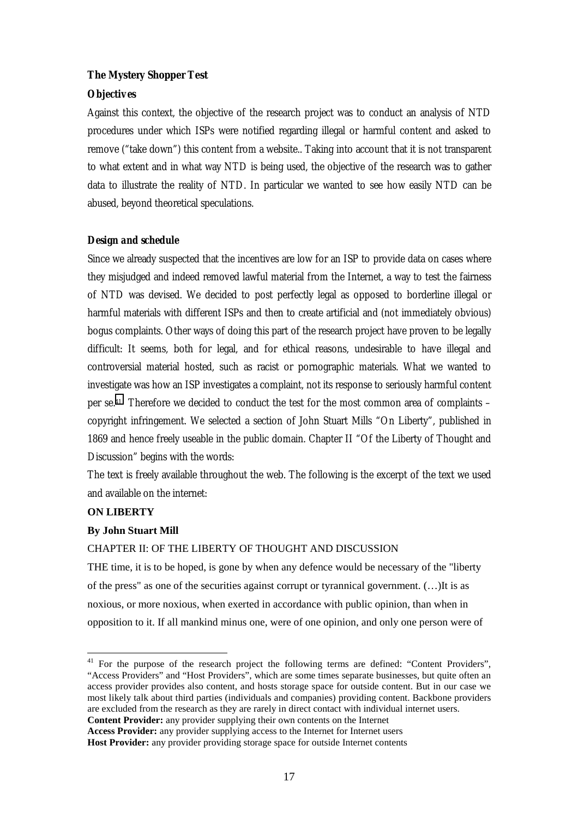## <span id="page-16-0"></span>**The Mystery Shopper Test**

## *Objectives*

Against this context, the objective of the research project was to conduct an analysis of NTD procedures under which ISPs were notified regarding illegal or harmful content and asked to remove ("take down") this content from a website.. Taking into account that it is not transparent to what extent and in what way NTD is being used, the objective of the research was to gather data to illustrate the reality of NTD. In particular we wanted to see how easily NTD can be abused, beyond theoretical speculations.

## *Design and schedule*

Since we already suspected that the incentives are low for an ISP to provide data on cases where they misjudged and indeed removed lawful material from the Internet, a way to test the fairness of NTD was devised. We decided to post perfectly legal as opposed to borderline illegal or harmful materials with different ISPs and then to create artificial and (not immediately obvious) bogus complaints. Other ways of doing this part of the research project have proven to be legally difficult: It seems, both for legal, and for ethical reasons, undesirable to have illegal and controversial material hosted, such as racist or pornographic materials. What we wanted to investigate was how an ISP investigates a complaint, not its response to seriously harmful content per se.41 Therefore we decided to conduct the test for the most common area of complaints – copyright infringement. We selected a section of John Stuart Mills "On Liberty", published in 1869 and hence freely useable in the public domain. Chapter II "Of the Liberty of Thought and Discussion" begins with the words:

The text is freely available throughout the web. The following is the excerpt of the text we used and available on the internet:

#### **ON LIBERTY**

 $\overline{a}$ 

#### **By John Stuart Mill**

#### CHAPTER II: OF THE LIBERTY OF THOUGHT AND DISCUSSION

THE time, it is to be hoped, is gone by when any defence would be necessary of the "liberty of the press" as one of the securities against corrupt or tyrannical government. (…)It is as noxious, or more noxious, when exerted in accordance with public opinion, than when in opposition to it. If all mankind minus one, were of one opinion, and only one person were of

<sup>&</sup>lt;sup>41</sup> For the purpose of the research project the following terms are defined: "Content Providers", "Access Providers" and "Host Providers", which are some times separate businesses, but quite often an access provider provides also content, and hosts storage space for outside content. But in our case we most likely talk about third parties (individuals and companies) providing content. Backbone providers are excluded from the research as they are rarely in direct contact with individual internet users. **Content Provider:** any provider supplying their own contents on the Internet

**Access Provider:** any provider supplying access to the Internet for Internet users

**Host Provider:** any provider providing storage space for outside Internet contents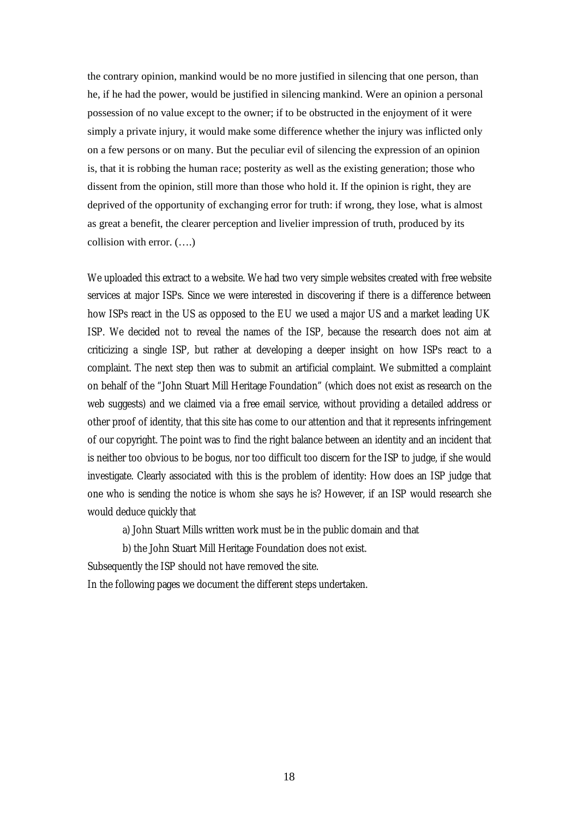the contrary opinion, mankind would be no more justified in silencing that one person, than he, if he had the power, would be justified in silencing mankind. Were an opinion a personal possession of no value except to the owner; if to be obstructed in the enjoyment of it were simply a private injury, it would make some difference whether the injury was inflicted only on a few persons or on many. But the peculiar evil of silencing the expression of an opinion is, that it is robbing the human race; posterity as well as the existing generation; those who dissent from the opinion, still more than those who hold it. If the opinion is right, they are deprived of the opportunity of exchanging error for truth: if wrong, they lose, what is almost as great a benefit, the clearer perception and livelier impression of truth, produced by its collision with error. (….)

We uploaded this extract to a website. We had two very simple websites created with free website services at major ISPs. Since we were interested in discovering if there is a difference between how ISPs react in the US as opposed to the EU we used a major US and a market leading UK ISP. We decided not to reveal the names of the ISP, because the research does not aim at criticizing a single ISP, but rather at developing a deeper insight on how ISPs react to a complaint. The next step then was to submit an artificial complaint. We submitted a complaint on behalf of the "John Stuart Mill Heritage Foundation" (which does not exist as research on the web suggests) and we claimed via a free email service, without providing a detailed address or other proof of identity, that this site has come to our attention and that it represents infringement of our copyright. The point was to find the right balance between an identity and an incident that is neither too obvious to be bogus, nor too difficult too discern for the ISP to judge, if she would investigate. Clearly associated with this is the problem of identity: How does an ISP judge that one who is sending the notice is whom she says he is? However, if an ISP would research she would deduce quickly that

a) John Stuart Mills written work must be in the public domain and that

b) the John Stuart Mill Heritage Foundation does not exist.

Subsequently the ISP should not have removed the site.

In the following pages we document the different steps undertaken.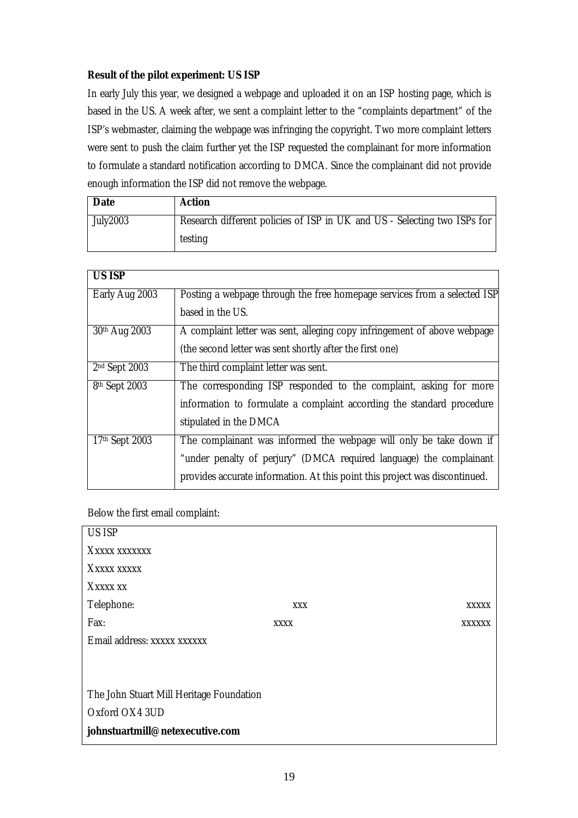## <span id="page-18-0"></span>**Result of the pilot experiment: US ISP**

In early July this year, we designed a webpage and uploaded it on an ISP hosting page, which is based in the US. A week after, we sent a complaint letter to the "complaints department" of the ISP's webmaster, claiming the webpage was infringing the copyright. Two more complaint letters were sent to push the claim further yet the ISP requested the complainant for more information to formulate a standard notification according to DMCA. Since the complainant did not provide enough information the ISP did not remove the webpage.

| <b>Date</b>     | Action                                                                   |
|-----------------|--------------------------------------------------------------------------|
| <b>July2003</b> | Research different policies of ISP in UK and US - Selecting two ISPs for |
|                 | testing                                                                  |

| <b>US ISP</b>             |                                                                             |
|---------------------------|-----------------------------------------------------------------------------|
| Early Aug 2003            | Posting a webpage through the free homepage services from a selected ISP    |
|                           | based in the US.                                                            |
| 30th Aug 2003             | A complaint letter was sent, alleging copy infringement of above webpage    |
|                           | (the second letter was sent shortly after the first one)                    |
| 2 <sup>nd</sup> Sept 2003 | The third complaint letter was sent.                                        |
| 8th Sept 2003             | The corresponding ISP responded to the complaint, asking for more           |
|                           | information to formulate a complaint according the standard procedure       |
|                           | stipulated in the DMCA                                                      |
| 17th Sept 2003            | The complainant was informed the webpage will only be take down if          |
|                           | "under penalty of perjury" (DMCA required language) the complainant         |
|                           | provides accurate information. At this point this project was discontinued. |

## Below the first email complaint:

| <b>US ISP</b>                            |             |  |               |
|------------------------------------------|-------------|--|---------------|
| XXXXX XXXXXXX                            |             |  |               |
| XXXXX XXXXX                              |             |  |               |
| XXXXX XX                                 |             |  |               |
| Telephone:                               | <b>XXX</b>  |  | <b>XXXXX</b>  |
| Fax:                                     | <b>XXXX</b> |  | <b>XXXXXX</b> |
| Email address: xxxxx xxxxxx              |             |  |               |
|                                          |             |  |               |
|                                          |             |  |               |
| The John Stuart Mill Heritage Foundation |             |  |               |
| Oxford OX4 3UD                           |             |  |               |
| johnstuartmill@netexecutive.com          |             |  |               |
|                                          |             |  |               |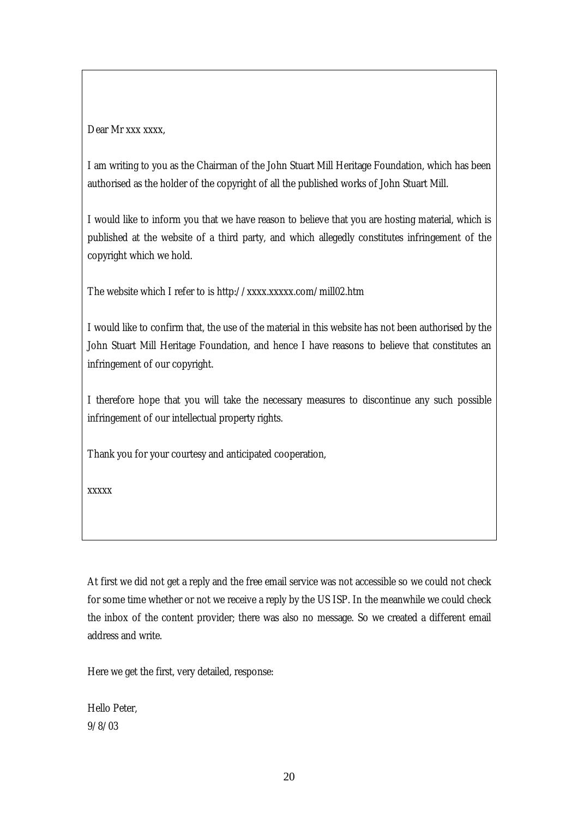Dear Mr xxx xxxx,

I am writing to you as the Chairman of the John Stuart Mill Heritage Foundation, which has been authorised as the holder of the copyright of all the published works of John Stuart Mill.

I would like to inform you that we have reason to believe that you are hosting material, which is published at the website of a third party, and which allegedly constitutes infringement of the copyright which we hold.

The website which I refer to is http://xxxx.xxxxx.com/mill02.htm

I would like to confirm that, the use of the material in this website has not been authorised by the John Stuart Mill Heritage Foundation, and hence I have reasons to believe that constitutes an infringement of our copyright.

I therefore hope that you will take the necessary measures to discontinue any such possible infringement of our intellectual property rights.

Thank you for your courtesy and anticipated cooperation,

xxxxx

At first we did not get a reply and the free email service was not accessible so we could not check for some time whether or not we receive a reply by the US ISP. In the meanwhile we could check the inbox of the content provider; there was also no message. So we created a different email address and write.

Here we get the first, very detailed, response:

Hello Peter, 9/8/03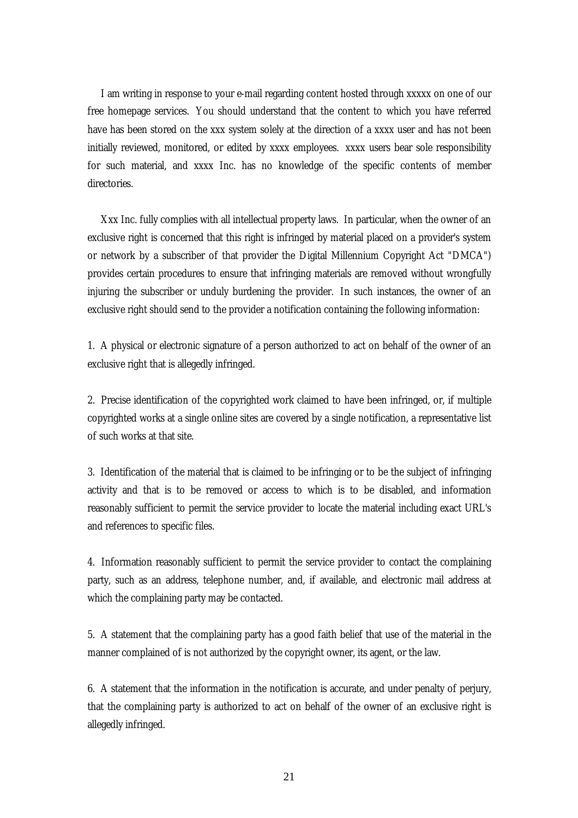I am writing in response to your e-mail regarding content hosted through xxxxx on one of our free homepage services. You should understand that the content to which you have referred have has been stored on the xxx system solely at the direction of a xxxx user and has not been initially reviewed, monitored, or edited by xxxx employees. xxxx users bear sole responsibility for such material, and xxxx Inc. has no knowledge of the specific contents of member directories.

 Xxx Inc. fully complies with all intellectual property laws. In particular, when the owner of an exclusive right is concerned that this right is infringed by material placed on a provider's system or network by a subscriber of that provider the Digital Millennium Copyright Act "DMCA") provides certain procedures to ensure that infringing materials are removed without wrongfully injuring the subscriber or unduly burdening the provider. In such instances, the owner of an exclusive right should send to the provider a notification containing the following information:

1. A physical or electronic signature of a person authorized to act on behalf of the owner of an exclusive right that is allegedly infringed.

2. Precise identification of the copyrighted work claimed to have been infringed, or, if multiple copyrighted works at a single online sites are covered by a single notification, a representative list of such works at that site.

3. Identification of the material that is claimed to be infringing or to be the subject of infringing activity and that is to be removed or access to which is to be disabled, and information reasonably sufficient to permit the service provider to locate the material including exact URL's and references to specific files.

4. Information reasonably sufficient to permit the service provider to contact the complaining party, such as an address, telephone number, and, if available, and electronic mail address at which the complaining party may be contacted.

5. A statement that the complaining party has a good faith belief that use of the material in the manner complained of is not authorized by the copyright owner, its agent, or the law.

6. A statement that the information in the notification is accurate, and under penalty of perjury, that the complaining party is authorized to act on behalf of the owner of an exclusive right is allegedly infringed.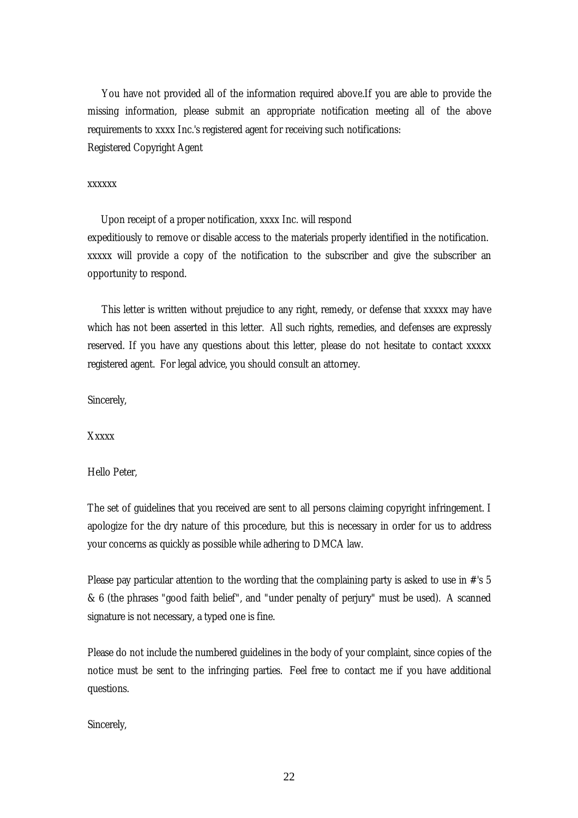You have not provided all of the information required above.If you are able to provide the missing information, please submit an appropriate notification meeting all of the above requirements to xxxx Inc.'s registered agent for receiving such notifications: Registered Copyright Agent

#### xxxxxx

 Upon receipt of a proper notification, xxxx Inc. will respond expeditiously to remove or disable access to the materials properly identified in the notification. xxxxx will provide a copy of the notification to the subscriber and give the subscriber an opportunity to respond.

 This letter is written without prejudice to any right, remedy, or defense that xxxxx may have which has not been asserted in this letter. All such rights, remedies, and defenses are expressly reserved. If you have any questions about this letter, please do not hesitate to contact xxxxx registered agent. For legal advice, you should consult an attorney.

Sincerely,

**Xxxxx** 

Hello Peter,

The set of guidelines that you received are sent to all persons claiming copyright infringement. I apologize for the dry nature of this procedure, but this is necessary in order for us to address your concerns as quickly as possible while adhering to DMCA law.

Please pay particular attention to the wording that the complaining party is asked to use in #'s 5 & 6 (the phrases "good faith belief", and "under penalty of perjury" must be used). A scanned signature is not necessary, a typed one is fine.

Please do not include the numbered guidelines in the body of your complaint, since copies of the notice must be sent to the infringing parties. Feel free to contact me if you have additional questions.

Sincerely,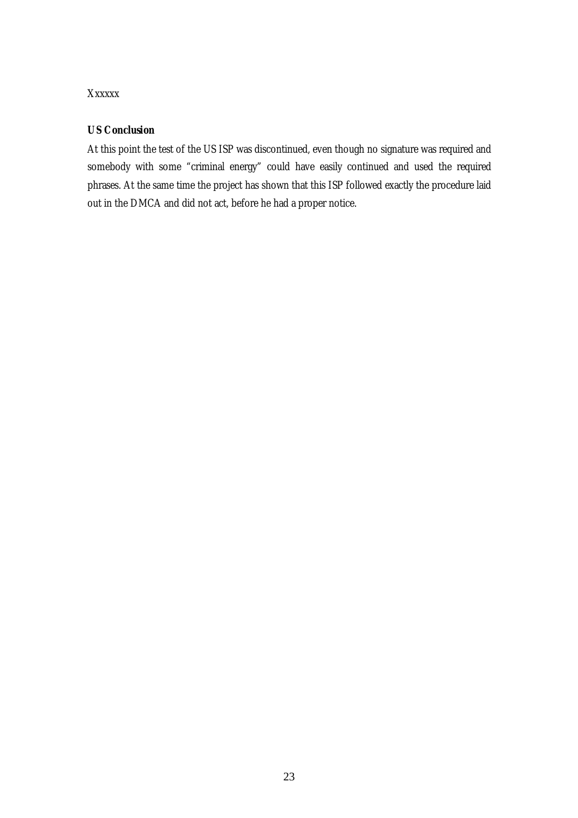## <span id="page-22-0"></span>Xxxxxx

## *US Conclusion*

At this point the test of the US ISP was discontinued, even though no signature was required and somebody with some "criminal energy" could have easily continued and used the required phrases. At the same time the project has shown that this ISP followed exactly the procedure laid out in the DMCA and did not act, before he had a proper notice.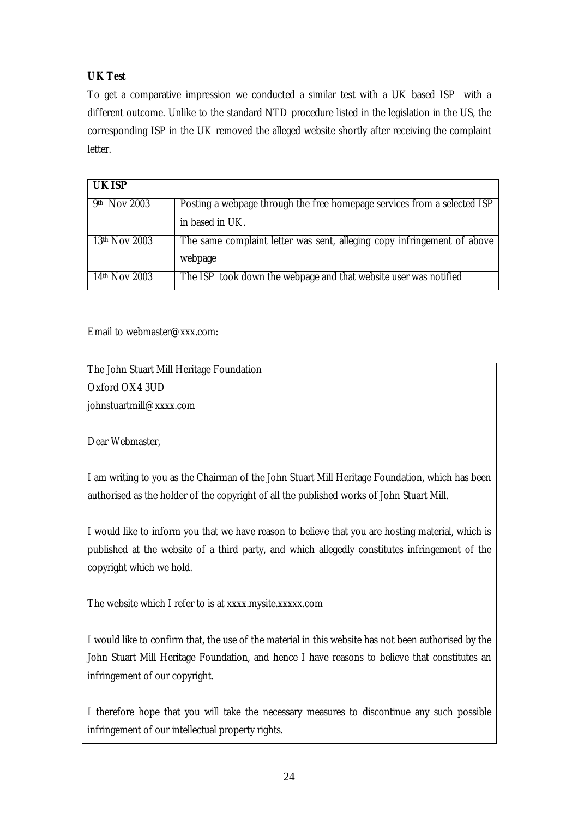# <span id="page-23-0"></span>*UK Test*

To get a comparative impression we conducted a similar test with a UK based ISP with a different outcome. Unlike to the standard NTD procedure listed in the legislation in the US, the corresponding ISP in the UK removed the alleged website shortly after receiving the complaint letter.

| <b>UK ISP</b>   |                                                                          |
|-----------------|--------------------------------------------------------------------------|
| 9th Nov 2003    | Posting a webpage through the free homepage services from a selected ISP |
|                 | in based in UK.                                                          |
| $13th$ Nov 2003 | The same complaint letter was sent, alleging copy infringement of above  |
|                 | webpage                                                                  |
| $14th$ Nov 2003 | The ISP took down the webpage and that website user was notified         |

Email to webmaster@xxx.com:

The John Stuart Mill Heritage Foundation Oxford OX4 3UD johnstuartmill@xxxx.com

Dear Webmaster,

I am writing to you as the Chairman of the John Stuart Mill Heritage Foundation, which has been authorised as the holder of the copyright of all the published works of John Stuart Mill.

I would like to inform you that we have reason to believe that you are hosting material, which is published at the website of a third party, and which allegedly constitutes infringement of the copyright which we hold.

The website which I refer to is at xxxx.mysite.xxxxx.com

I would like to confirm that, the use of the material in this website has not been authorised by the John Stuart Mill Heritage Foundation, and hence I have reasons to believe that constitutes an infringement of our copyright.

I therefore hope that you will take the necessary measures to discontinue any such possible infringement of our intellectual property rights.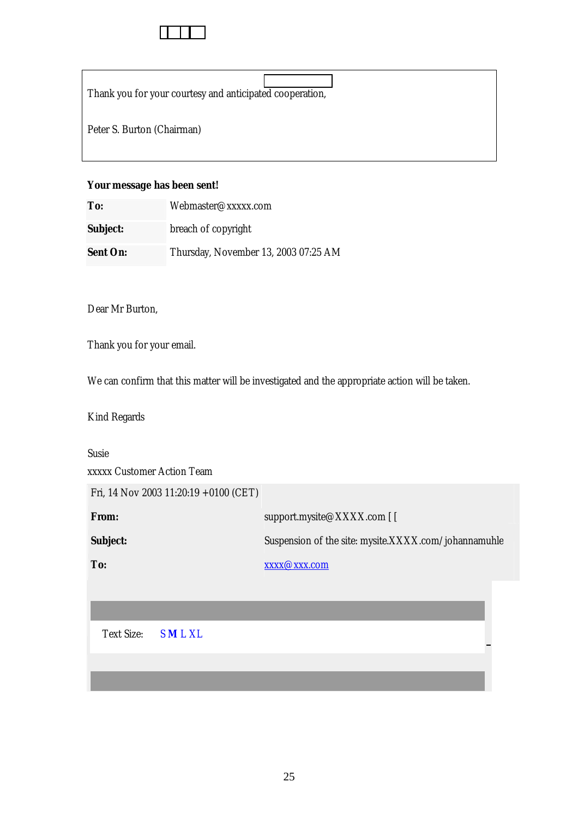Thank you for your courtesy and anticipated cooperation,

Peter S. Burton (Chairman)

## **Your message has been sent!**

| To:             | Webmaster@xxxxx.com                  |
|-----------------|--------------------------------------|
| <b>Subject:</b> | breach of copyright                  |
| <b>Sent On:</b> | Thursday, November 13, 2003 07:25 AM |

Dear Mr Burton,

Thank you for your email.

We can confirm that this matter will be investigated and the appropriate action will be taken.

Kind Regards

Susie xxxxx Customer Action Team Fri, 14 Nov 2003 11:20:19 +0100 (CET) **From:** support.mysite@XXXX.com [ [ **Subject:** Suspension of the site: mysite.XXXX.com/johannamuhle **To:** xxxx@xxx.com

Text Size: S **M** L XL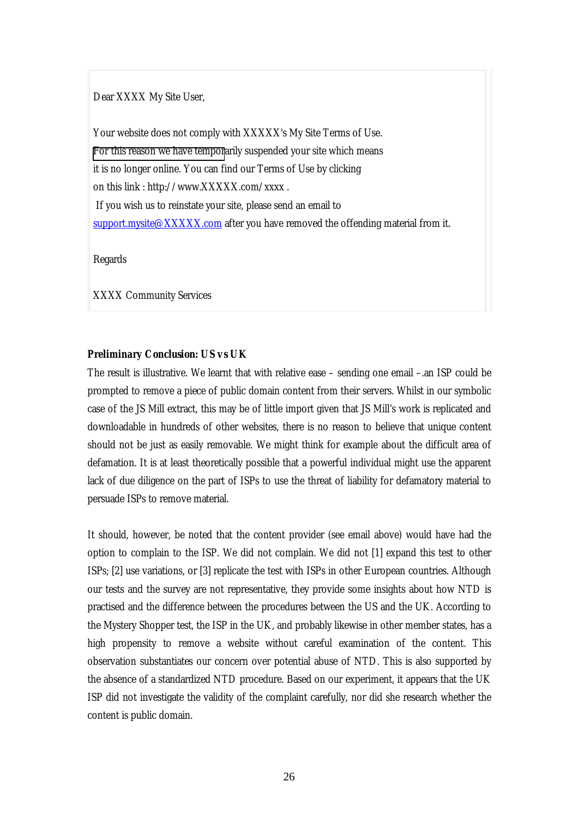<span id="page-25-0"></span>Dear XXXX My Site User,

Your website does not comply with XXXXX's My Site Terms of Use. [For this reason we have tempor](mailto:support.mysite@XXXXX.com)arily suspended your site which means it is no longer online. You can find our Terms of Use by clicking on this link : http://www.XXXXX.com/xxxx . If you wish us to reinstate your site, please send an email to support.mysite@XXXXX.com after you have removed the offending material from it.

Regards

XXXX Community Services

## *Preliminary Conclusion: US vs UK*

The result is illustrative. We learnt that with relative ease – sending one email –.an ISP could be prompted to remove a piece of public domain content from their servers. Whilst in our symbolic case of the JS Mill extract, this may be of little import given that JS Mill's work is replicated and downloadable in hundreds of other websites, there is no reason to believe that unique content should not be just as easily removable. We might think for example about the difficult area of defamation. It is at least theoretically possible that a powerful individual might use the apparent lack of due diligence on the part of ISPs to use the threat of liability for defamatory material to persuade ISPs to remove material.

It should, however, be noted that the content provider (see email above) would have had the option to complain to the ISP. We did not complain. We did not [1] expand this test to other ISPs; [2] use variations, or [3] replicate the test with ISPs in other European countries. Although our tests and the survey are not representative, they provide some insights about how NTD is practised and the difference between the procedures between the US and the UK. According to the Mystery Shopper test, the ISP in the UK, and probably likewise in other member states, has a high propensity to remove a website without careful examination of the content. This observation substantiates our concern over potential abuse of NTD. This is also supported by the absence of a standardized NTD procedure. Based on our experiment, it appears that the UK ISP did not investigate the validity of the complaint carefully, nor did she research whether the content is public domain.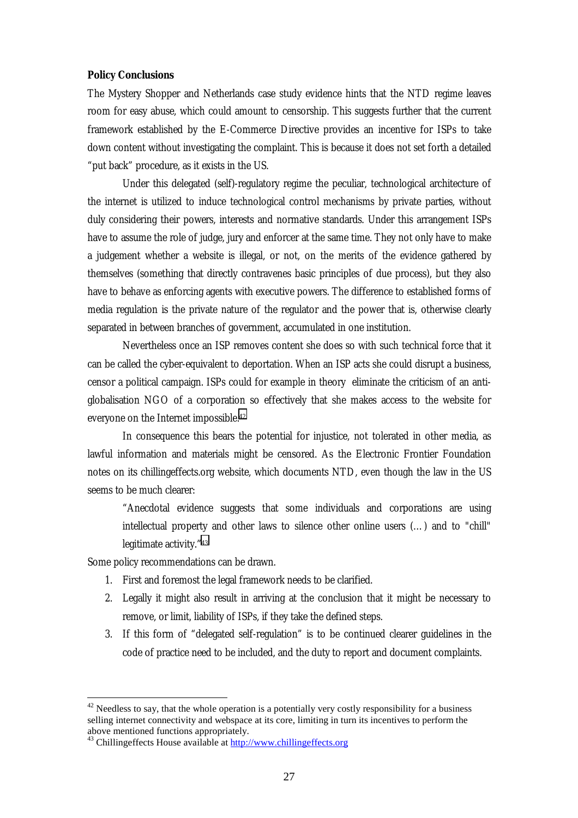#### <span id="page-26-0"></span>**Policy Conclusions**

The Mystery Shopper and Netherlands case study evidence hints that the NTD regime leaves room for easy abuse, which could amount to censorship. This suggests further that the current framework established by the E-Commerce Directive provides an incentive for ISPs to take down content without investigating the complaint. This is because it does not set forth a detailed "put back" procedure, as it exists in the US.

Under this delegated (self)-regulatory regime the peculiar, technological architecture of the internet is utilized to induce technological control mechanisms by private parties, without duly considering their powers, interests and normative standards. Under this arrangement ISPs have to assume the role of judge, jury and enforcer at the same time. They not only have to make a judgement whether a website is illegal, or not, on the merits of the evidence gathered by themselves (something that directly contravenes basic principles of due process), but they also have to behave as enforcing agents with executive powers. The difference to established forms of media regulation is the private nature of the regulator and the power that is, otherwise clearly separated in between branches of government, accumulated in one institution.

Nevertheless once an ISP removes content she does so with such technical force that it can be called the cyber-equivalent to deportation. When an ISP acts she could disrupt a business, censor a political campaign. ISPs could for example in theory eliminate the criticism of an antiglobalisation NGO of a corporation so effectively that she makes access to the website for everyone on the Internet impossible.42

In consequence this bears the potential for injustice, not tolerated in other media, as lawful information and materials might be censored. As the Electronic Frontier Foundation notes on its chillingeffects.org website, which documents NTD, even though the law in the US seems to be much clearer:

"Anecdotal evidence suggests that some individuals and corporations are using intellectual property and other laws to silence other online users (…) and to "chill" legitimate activity."43

Some policy recommendations can be drawn.

- 1. First and foremost the legal framework needs to be clarified.
- 2. Legally it might also result in arriving at the conclusion that it might be necessary to remove, or limit, liability of ISPs, if they take the defined steps.
- 3. If this form of "delegated self-regulation" is to be continued clearer guidelines in the code of practice need to be included, and the duty to report and document complaints.

 $42$  Needless to say, that the whole operation is a potentially very costly responsibility for a business selling internet connectivity and webspace at its core, limiting in turn its incentives to perform the above mentioned functions appropriately.

 $43$  Chillingeffects House available at  $\frac{http://www.chillingeffects.org}{http://www.chillingeffects.org}$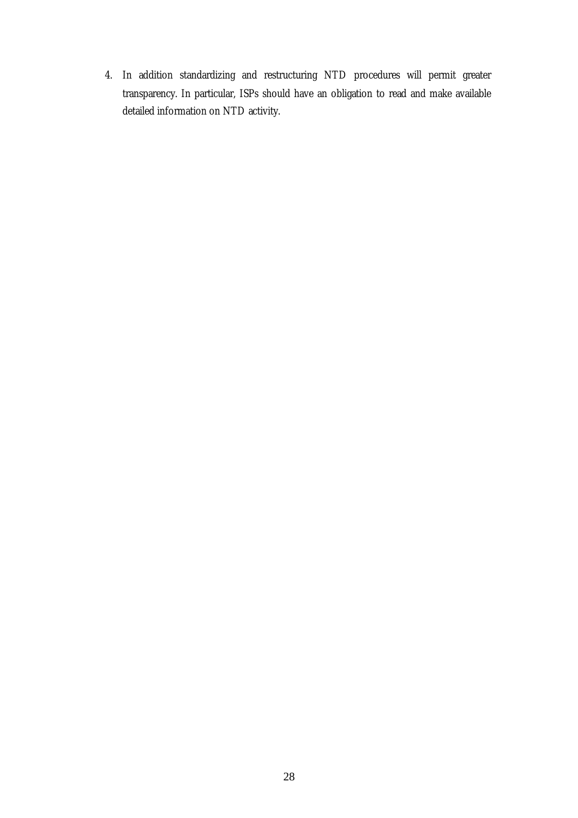4. In addition standardizing and restructuring NTD procedures will permit greater transparency. In particular, ISPs should have an obligation to read and make available detailed information on NTD activity.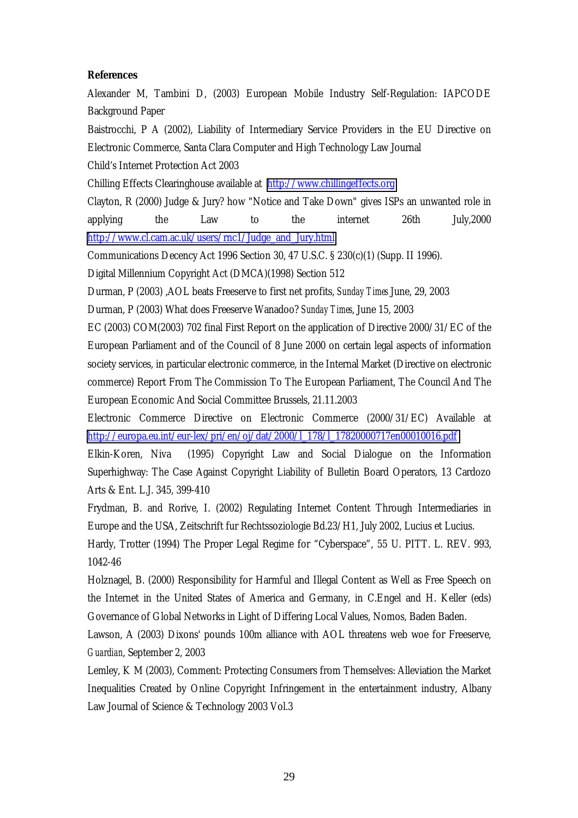#### <span id="page-28-0"></span>**References**

Alexander M, Tambini D, (2003) European Mobile Industry Self-Regulation: IAPCODE Background Paper

Baistrocchi, P A (2002), Liability of Intermediary Service Providers in the EU Directive on Electronic Commerce, Santa Clara Computer and High Technology Law Journal

Child's Internet Protection Act 2003

Chilling Effects Clearinghouse available at [http://www.chillingeffects.org](http://www.chillingeffects.org/)

Clayton, R (2000) Judge & Jury? how "Notice and Take Down" gives ISPs an unwanted role in applying the Law to the internet 26th July,2000 [http://www.cl.cam.ac.uk/users/rnc1/Judge\\_and\\_Jury.html](http://www.cl.cam.ac.uk/users/rnc1/Judge_and_Jury.html)

Communications Decency Act 1996 Section 30, 47 U.S.C. § 230(c)(1) (Supp. II 1996).

Digital Millennium Copyright Act (DMCA)(1998) Section 512

Durman, P (2003) ,AOL beats Freeserve to first net profits, *Sunday Times* June, 29, 2003

Durman, P (2003) What does Freeserve Wanadoo? *Sunday Times*, June 15, 2003

EC (2003) COM(2003) 702 final First Report on the application of Directive 2000/31/EC of the European Parliament and of the Council of 8 June 2000 on certain legal aspects of information society services, in particular electronic commerce, in the Internal Market (Directive on electronic commerce) Report From The Commission To The European Parliament, The Council And The European Economic And Social Committee Brussels, 21.11.2003

Electronic Commerce Directive on Electronic Commerce (2000/31/EC) Available at [http://europa.eu.int/eur-lex/pri/en/oj/dat/2000/l\\_178/l\\_17820000717en00010016.pdf](http://europa.eu.int/eur-lex/pri/en/oj/dat/2000/l_178/l_17820000717en00010016.pdf)

Elkin-Koren, Niva (1995) Copyright Law and Social Dialogue on the Information Superhighway: The Case Against Copyright Liability of Bulletin Board Operators, 13 Cardozo Arts & Ent. L.J. 345, 399-410

Frydman, B. and Rorive, I. (2002) Regulating Internet Content Through Intermediaries in Europe and the USA, Zeitschrift fur Rechtssoziologie Bd.23/H1, July 2002, Lucius et Lucius.

Hardy, Trotter (1994) The Proper Legal Regime for "Cyberspace", 55 U. PITT. L. REV. 993, 1042-46

Holznagel, B. (2000) Responsibility for Harmful and Illegal Content as Well as Free Speech on the Internet in the United States of America and Germany, in C.Engel and H. Keller (eds) Governance of Global Networks in Light of Differing Local Values, Nomos, Baden Baden.

Lawson, A (2003) Dixons' pounds 100m alliance with AOL threatens web woe for Freeserve, *Guardian*, September 2, 2003

Lemley, K M (2003), Comment: Protecting Consumers from Themselves: Alleviation the Market Inequalities Created by Online Copyright Infringement in the entertainment industry, Albany Law Journal of Science & Technology 2003 Vol.3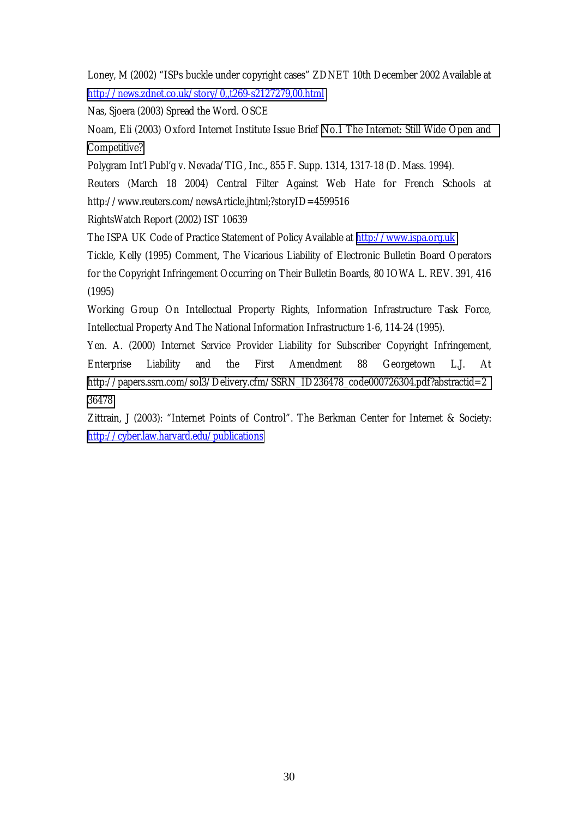Loney, M (2002) "ISPs buckle under copyright cases" ZDNET 10th December 2002 Available at <http://news.zdnet.co.uk/story/0,,t269-s2127279,00.html>

Nas, Sjoera (2003) Spread the Word. OSCE

Noam, Eli (2003) Oxford Internet Institute Issue Brief [No.1 The Internet: Still Wide Open and](http://www.oii.ox.ac.uk/resources/publications/OIIIB1_0803.pdf)  [Competitive?](http://www.oii.ox.ac.uk/resources/publications/OIIIB1_0803.pdf) 

Polygram Int'l Publ'g v. Nevada/TIG, Inc., 855 F. Supp. 1314, 1317-18 (D. Mass. 1994).

Reuters (March 18 2004) Central Filter Against Web Hate for French Schools at http://www.reuters.com/newsArticle.jhtml;?storyID=4599516

RightsWatch Report (2002) IST 10639

The ISPA UK Code of Practice Statement of Policy Available at [http://www.ispa.org.uk](http://www.ispa.org.uk/)

Tickle, Kelly (1995) Comment, The Vicarious Liability of Electronic Bulletin Board Operators for the Copyright Infringement Occurring on Their Bulletin Boards, 80 IOWA L. REV. 391, 416 (1995)

Working Group On Intellectual Property Rights, Information Infrastructure Task Force, Intellectual Property And The National Information Infrastructure 1-6, 114-24 (1995).

Yen. A. (2000) Internet Service Provider Liability for Subscriber Copyright Infringement, Enterprise Liability and the First Amendment 88 Georgetown L.J. At [http://papers.ssrn.com/sol3/Delivery.cfm/SSRN\\_ID236478\\_code000726304.pdf?abstractid=2](http://papers.ssrn.com/sol3/Delivery.cfm/SSRN_ID236478_code000726304.pdf?abstractid=236478) [36478](http://papers.ssrn.com/sol3/Delivery.cfm/SSRN_ID236478_code000726304.pdf?abstractid=236478) 

Zittrain, J (2003): "Internet Points of Control". The Berkman Center for Internet & Society: <http://cyber.law.harvard.edu/publications>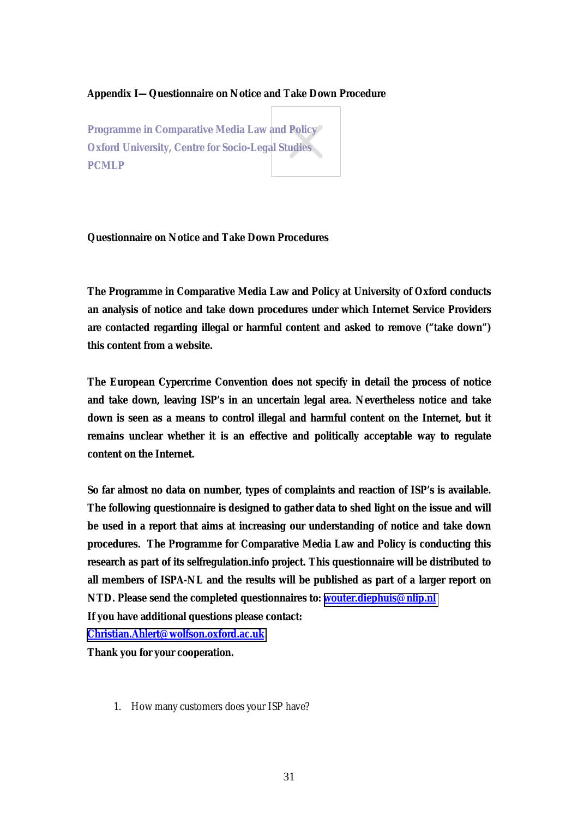#### <span id="page-30-0"></span>**Appendix I—Questionnaire on Notice and Take Down Procedure**

**Programme in Comparative Media Law and Policy Oxford University, Centre for Socio-Legal Studies PCMLP**

#### **Questionnaire on Notice and Take Down Procedures**

**The Programme in Comparative Media Law and Policy at University of Oxford conducts an analysis of notice and take down procedures under which Internet Service Providers are contacted regarding illegal or harmful content and asked to remove ("take down") this content from a website.** 

**The European Cypercrime Convention does not specify in detail the process of notice and take down, leaving ISP's in an uncertain legal area. Nevertheless notice and take down is seen as a means to control illegal and harmful content on the Internet, but it remains unclear whether it is an effective and politically acceptable way to regulate content on the Internet.** 

**So far almost no data on number, types of complaints and reaction of ISP's is available. The following questionnaire is designed to gather data to shed light on the issue and will be used in a report that aims at increasing our understanding of notice and take down procedures. The Programme for Comparative Media Law and Policy is conducting this research as part of its selfregulation.info project. This questionnaire will be distributed to all members of ISPA-NL and the results will be published as part of a larger report on NTD. Please send the completed questionnaires to: [wouter.diephuis@nlip.nl](mailto:wouter.diephuis@nlip.nl) If you have additional questions please contact:** 

**[Christian.Ahlert@wolfson.oxford.ac.uk](mailto:Christian.Ahlert@wolfson.oxford.ac.uk)**

**Thank you for your cooperation.** 

1. How many customers does your ISP have?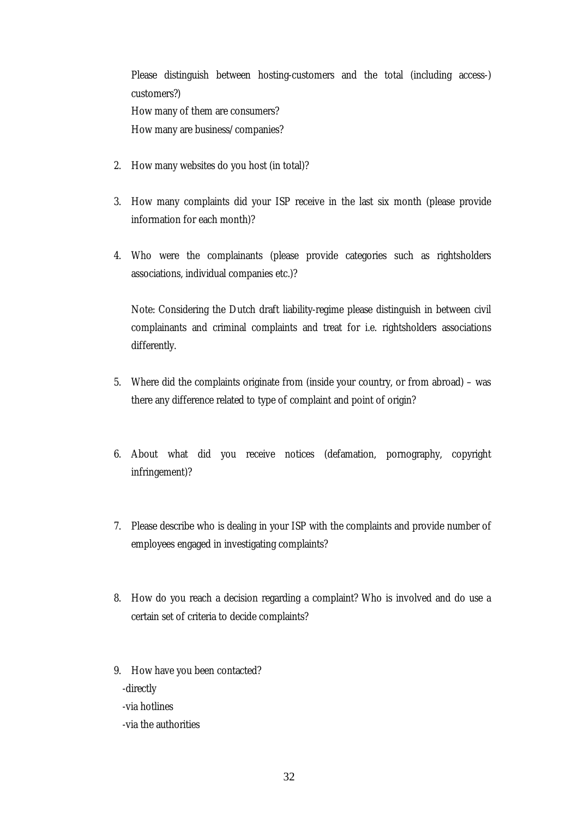Please distinguish between hosting-customers and the total (including access-) customers?) How many of them are consumers? How many are business/companies?

- 2. How many websites do you host (in total)?
- 3. How many complaints did your ISP receive in the last six month (please provide information for each month)?
- 4. Who were the complainants (please provide categories such as rightsholders associations, individual companies etc.)?

Note: Considering the Dutch draft liability-regime please distinguish in between civil complainants and criminal complaints and treat for i.e. rightsholders associations differently.

- 5. Where did the complaints originate from (inside your country, or from abroad) was there any difference related to type of complaint and point of origin?
- 6. About what did you receive notices (defamation, pornography, copyright infringement)?
- 7. Please describe who is dealing in your ISP with the complaints and provide number of employees engaged in investigating complaints?
- 8. How do you reach a decision regarding a complaint? Who is involved and do use a certain set of criteria to decide complaints?
- 9. How have you been contacted? -directly -via hotlines -via the authorities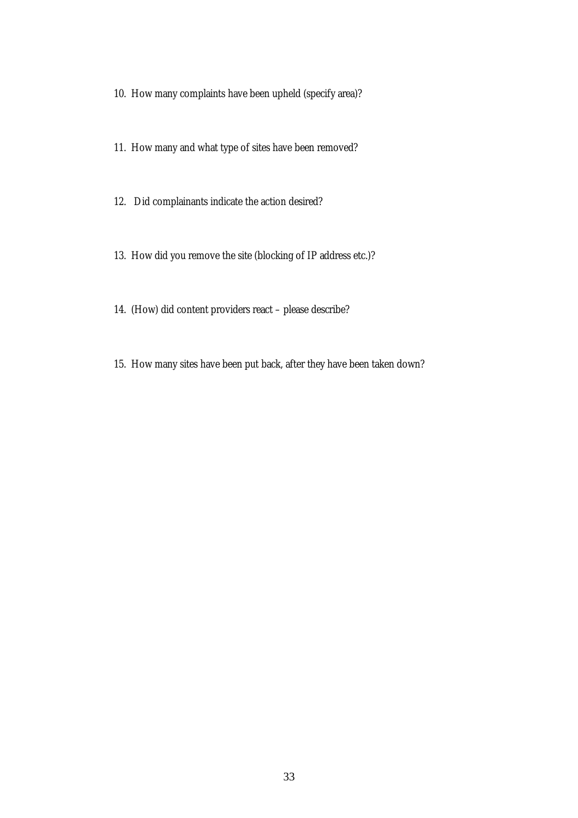- 10. How many complaints have been upheld (specify area)?
- 11. How many and what type of sites have been removed?
- 12. Did complainants indicate the action desired?
- 13. How did you remove the site (blocking of IP address etc.)?
- 14. (How) did content providers react please describe?
- 15. How many sites have been put back, after they have been taken down?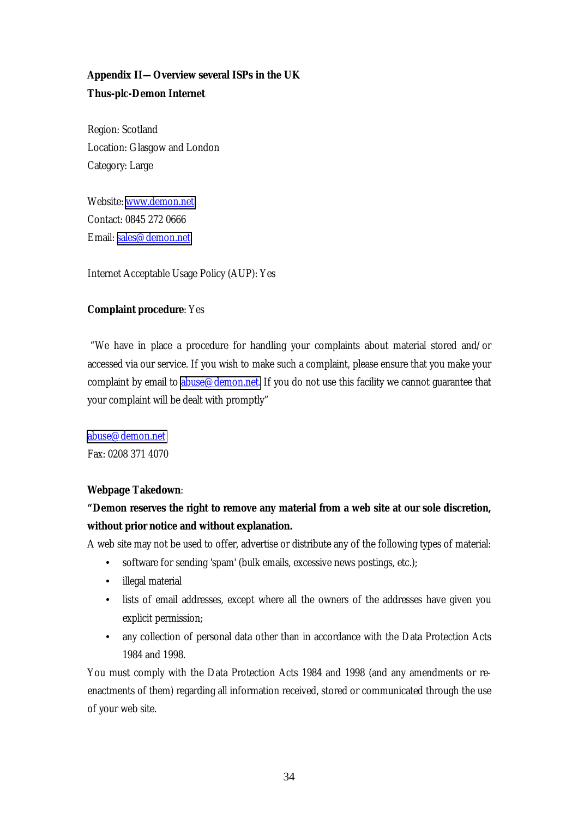# <span id="page-33-0"></span>**Appendix II—Overview several ISPs in the UK Thus-plc-Demon Internet**

Region: Scotland Location: Glasgow and London Category: Large

Website: [www.demon.net](http://www.demon.net/) Contact: 0845 272 0666 Email: [sales@demon.net](mailto:sales@demon.net)

Internet Acceptable Usage Policy (AUP): Yes

## **Complaint procedure**: Yes

 "We have in place a procedure for handling your complaints about material stored and/or accessed via our service. If you wish to make such a complaint, please ensure that you make your complaint by email to abuse  $\mathcal{Q}$  demon.net. If you do not use this facility we cannot guarantee that your complaint will be dealt with promptly"

[abuse@demon.net](mailto:abuse@demon.net) Fax: 0208 371 4070

## **Webpage Takedown**:

# **"Demon reserves the right to remove any material from a web site at our sole discretion, without prior notice and without explanation.**

A web site may not be used to offer, advertise or distribute any of the following types of material:

- software for sending 'spam' (bulk emails, excessive news postings, etc.);
- illegal material
- lists of email addresses, except where all the owners of the addresses have given you explicit permission;
- any collection of personal data other than in accordance with the Data Protection Acts 1984 and 1998.

You must comply with the Data Protection Acts 1984 and 1998 (and any amendments or reenactments of them) regarding all information received, stored or communicated through the use of your web site.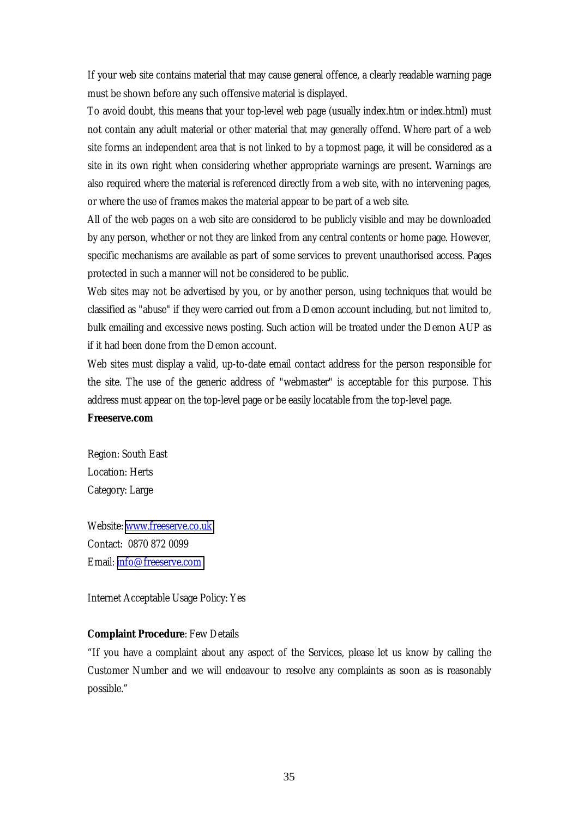<span id="page-34-0"></span>If your web site contains material that may cause general offence, a clearly readable warning page must be shown before any such offensive material is displayed.

To avoid doubt, this means that your top-level web page (usually index.htm or index.html) must not contain any adult material or other material that may generally offend. Where part of a web site forms an independent area that is not linked to by a topmost page, it will be considered as a site in its own right when considering whether appropriate warnings are present. Warnings are also required where the material is referenced directly from a web site, with no intervening pages, or where the use of frames makes the material appear to be part of a web site.

All of the web pages on a web site are considered to be publicly visible and may be downloaded by any person, whether or not they are linked from any central contents or home page. However, specific mechanisms are available as part of some services to prevent unauthorised access. Pages protected in such a manner will not be considered to be public.

Web sites may not be advertised by you, or by another person, using techniques that would be classified as "abuse" if they were carried out from a Demon account including, but not limited to, bulk emailing and excessive news posting. Such action will be treated under the Demon AUP as if it had been done from the Demon account.

Web sites must display a valid, up-to-date email contact address for the person responsible for the site. The use of the generic address of "webmaster" is acceptable for this purpose. This address must appear on the top-level page or be easily locatable from the top-level page.

#### **Freeserve.com**

Region: South East Location: Herts Category: Large

Website: [www.freeserve.co.uk](http://www.freeserve.co.uk/) Contact: 0870 872 0099 Email: [info@freeserve.com](mailto:info@freeserve.com)

Internet Acceptable Usage Policy: Yes

#### **Complaint Procedure**: Few Details

"If you have a complaint about any aspect of the Services, please let us know by calling the Customer Number and we will endeavour to resolve any complaints as soon as is reasonably possible."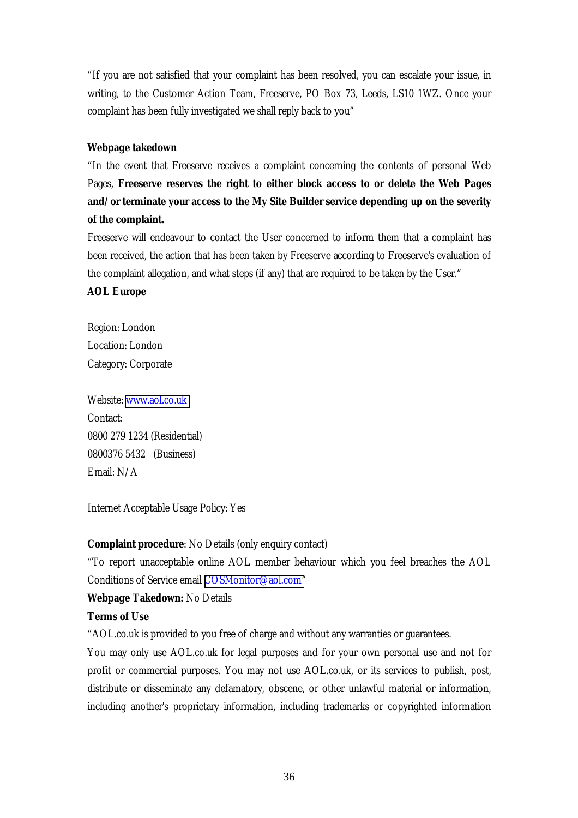<span id="page-35-0"></span>"If you are not satisfied that your complaint has been resolved, you can escalate your issue, in writing, to the Customer Action Team, Freeserve, PO Box 73, Leeds, LS10 1WZ. Once your complaint has been fully investigated we shall reply back to you"

## **Webpage takedown**

"In the event that Freeserve receives a complaint concerning the contents of personal Web Pages, **Freeserve reserves the right to either block access to or delete the Web Pages and/or terminate your access to the My Site Builder service depending up on the severity of the complaint.** 

Freeserve will endeavour to contact the User concerned to inform them that a complaint has been received, the action that has been taken by Freeserve according to Freeserve's evaluation of the complaint allegation, and what steps (if any) that are required to be taken by the User."

## **AOL Europe**

Region: London Location: London Category: Corporate

Website: [www.aol.co.uk](http://www.aol.co.uk/) Contact: 0800 279 1234 (Residential) 0800376 5432 (Business) Email: N/A

Internet Acceptable Usage Policy: Yes

## **Complaint procedure**: No Details (only enquiry contact)

"To report unacceptable online AOL member behaviour which you feel breaches the AOL Conditions of Service email [COSMonitor@aol.com"](mailto:COSMonitor@aol.com)

## **Webpage Takedown:** No Details

## **Terms of Use**

"AOL.co.uk is provided to you free of charge and without any warranties or guarantees.

You may only use AOL.co.uk for legal purposes and for your own personal use and not for profit or commercial purposes. You may not use AOL.co.uk, or its services to publish, post, distribute or disseminate any defamatory, obscene, or other unlawful material or information, including another's proprietary information, including trademarks or copyrighted information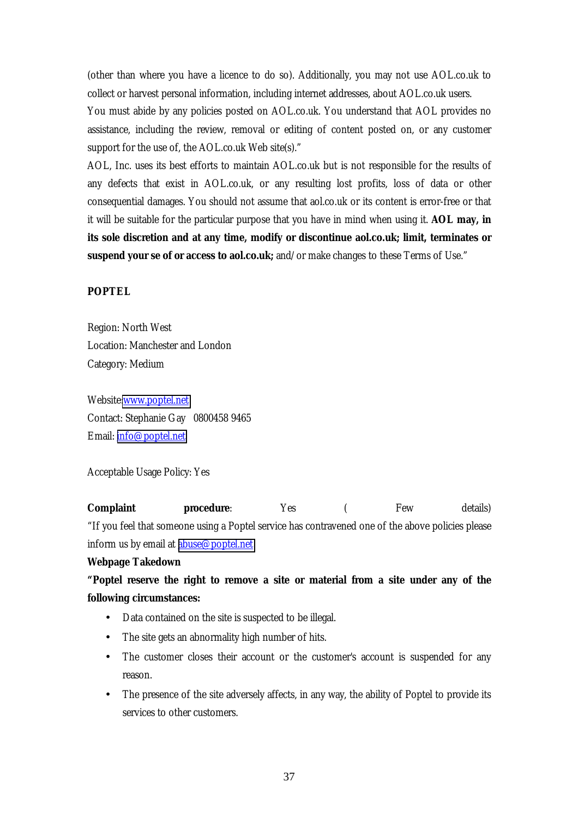<span id="page-36-0"></span>(other than where you have a licence to do so). Additionally, you may not use AOL.co.uk to collect or harvest personal information, including internet addresses, about AOL.co.uk users.

You must abide by any policies posted on AOL.co.uk. You understand that AOL provides no assistance, including the review, removal or editing of content posted on, or any customer support for the use of, the AOL.co.uk Web site(s)."

AOL, Inc. uses its best efforts to maintain AOL.co.uk but is not responsible for the results of any defects that exist in AOL.co.uk, or any resulting lost profits, loss of data or other consequential damages. You should not assume that aol.co.uk or its content is error-free or that it will be suitable for the particular purpose that you have in mind when using it. **AOL may, in its sole discretion and at any time, modify or discontinue aol.co.uk; limit, terminates or suspend your se of or access to aol.co.uk;** and/or make changes to these Terms of Use."

## **POPTEL**

Region: North West Location: Manchester and London Category: Medium

Website[:www.poptel.net](http://www.poptel.net/) Contact: Stephanie Gay 0800458 9465 Email: [info@poptel.net](mailto:info@poptel.net)

Acceptable Usage Policy: Yes

**Complaint procedure**: Yes ( Few details) "If you feel that someone using a Poptel service has contravened one of the above policies please inform us by email at **abuse@poptel**.net

#### **Webpage Takedown**

**"Poptel reserve the right to remove a site or material from a site under any of the following circumstances:** 

- Data contained on the site is suspected to be illegal.
- The site gets an abnormality high number of hits.
- The customer closes their account or the customer's account is suspended for any reason.
- The presence of the site adversely affects, in any way, the ability of Poptel to provide its services to other customers.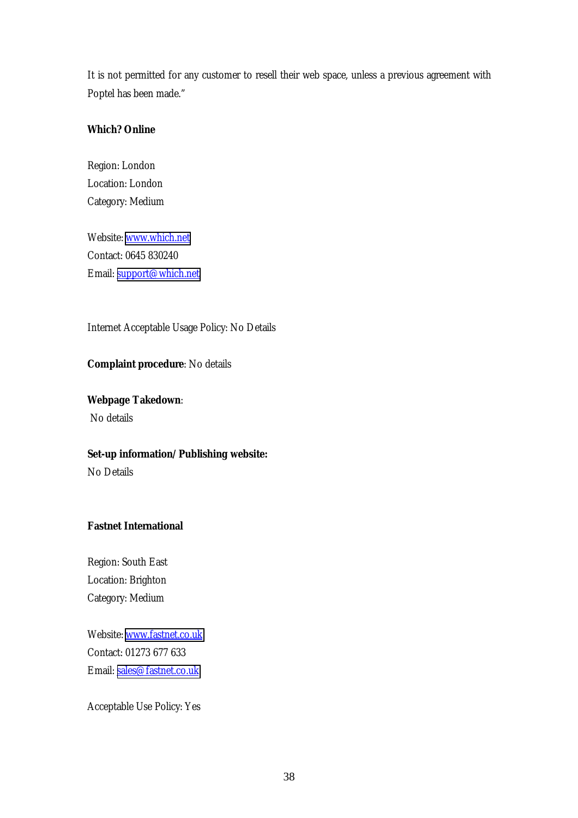<span id="page-37-0"></span>It is not permitted for any customer to resell their web space, unless a previous agreement with Poptel has been made."

## **Which? Online**

Region: London Location: London Category: Medium

Website: [www.which.net](http://www.which.net/) Contact: 0645 830240 Email: [support@which.net](mailto:support@which.net)

Internet Acceptable Usage Policy: No Details

## **Complaint procedure**: No details

# **Webpage Takedown**:

No details

## **Set-up information/Publishing website:**

No Details

## **Fastnet International**

Region: South East Location: Brighton Category: Medium

Website: [www.fastnet.co.uk](http://www.fastnet.co.uk/) Contact: 01273 677 633 Email: [sales@fastnet.co.uk](mailto:sales@fastnet.co.uk)

Acceptable Use Policy: Yes